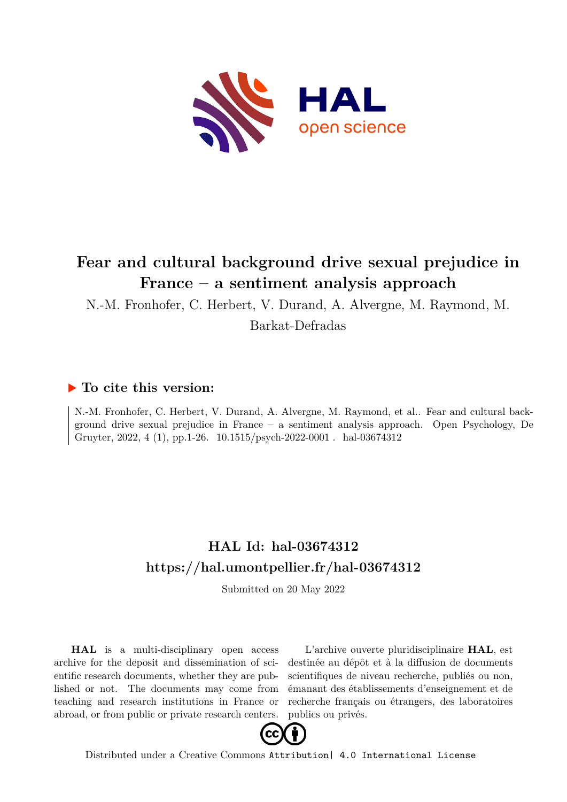

# **Fear and cultural background drive sexual prejudice in France – a sentiment analysis approach**

N.-M. Fronhofer, C. Herbert, V. Durand, A. Alvergne, M. Raymond, M.

Barkat-Defradas

### **To cite this version:**

N.-M. Fronhofer, C. Herbert, V. Durand, A. Alvergne, M. Raymond, et al.. Fear and cultural background drive sexual prejudice in France – a sentiment analysis approach. Open Psychology, De Gruyter, 2022, 4 (1), pp.1-26. 10.1515/psych-2022-0001. hal-03674312

# **HAL Id: hal-03674312 <https://hal.umontpellier.fr/hal-03674312>**

Submitted on 20 May 2022

**HAL** is a multi-disciplinary open access archive for the deposit and dissemination of scientific research documents, whether they are published or not. The documents may come from teaching and research institutions in France or abroad, or from public or private research centers.

L'archive ouverte pluridisciplinaire **HAL**, est destinée au dépôt et à la diffusion de documents scientifiques de niveau recherche, publiés ou non, émanant des établissements d'enseignement et de recherche français ou étrangers, des laboratoires publics ou privés.



Distributed under a Creative Commons [Attribution| 4.0 International License](http://creativecommons.org/licenses/by/4.0/)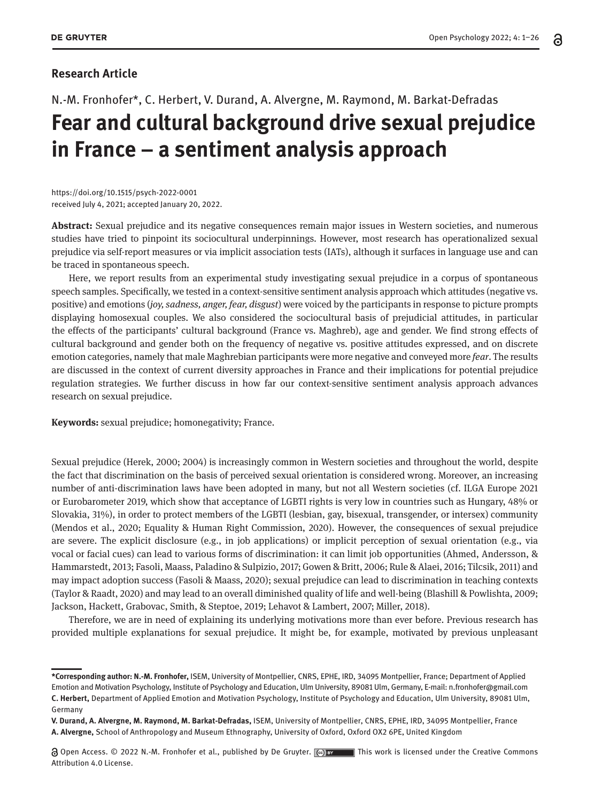### **Research Article**

# N.-M. Fronhofer\*, C. Herbert, V. Durand, A. Alvergne, M. Raymond, M. Barkat-Defradas **Fear and cultural background drive sexual prejudice in France – a sentiment analysis approach**

https://doi.org/10.1515/psych-2022-0001 received July 4, 2021; accepted January 20, 2022.

**Abstract:** Sexual prejudice and its negative consequences remain major issues in Western societies, and numerous studies have tried to pinpoint its sociocultural underpinnings. However, most research has operationalized sexual prejudice via self-report measures or via implicit association tests (IATs), although it surfaces in language use and can be traced in spontaneous speech.

Here, we report results from an experimental study investigating sexual prejudice in a corpus of spontaneous speech samples. Specifically, we tested in a context-sensitive sentiment analysis approach which attitudes (negative vs. positive) and emotions (*joy, sadness, anger, fear, disgust*) were voiced by the participants in response to picture prompts displaying homosexual couples. We also considered the sociocultural basis of prejudicial attitudes, in particular the effects of the participants' cultural background (France vs. Maghreb), age and gender. We find strong effects of cultural background and gender both on the frequency of negative vs. positive attitudes expressed, and on discrete emotion categories, namely that male Maghrebian participants were more negative and conveyed more *fear*. The results are discussed in the context of current diversity approaches in France and their implications for potential prejudice regulation strategies. We further discuss in how far our context-sensitive sentiment analysis approach advances research on sexual prejudice.

**Keywords:** sexual prejudice; homonegativity; France.

Sexual prejudice (Herek, 2000; 2004) is increasingly common in Western societies and throughout the world, despite the fact that discrimination on the basis of perceived sexual orientation is considered wrong. Moreover, an increasing number of anti-discrimination laws have been adopted in many, but not all Western societies (cf. ILGA Europe 2021 or Eurobarometer 2019, which show that acceptance of LGBTI rights is very low in countries such as Hungary, 48% or Slovakia, 31%), in order to protect members of the LGBTI (lesbian, gay, bisexual, transgender, or intersex) community (Mendos et al., 2020; Equality & Human Right Commission, 2020). However, the consequences of sexual prejudice are severe. The explicit disclosure (e.g., in job applications) or implicit perception of sexual orientation (e.g., via vocal or facial cues) can lead to various forms of discrimination: it can limit job opportunities (Ahmed, Andersson, & Hammarstedt, 2013; Fasoli, Maass, Paladino & Sulpizio, 2017; Gowen & Britt, 2006; Rule & Alaei, 2016; Tilcsik, 2011) and may impact adoption success (Fasoli & Maass, 2020); sexual prejudice can lead to discrimination in teaching contexts (Taylor & Raadt, 2020) and may lead to an overall diminished quality of life and well-being (Blashill & Powlishta, 2009; Jackson, Hackett, Grabovac, Smith, & Steptoe, 2019; Lehavot & Lambert, 2007; Miller, 2018).

Therefore, we are in need of explaining its underlying motivations more than ever before. Previous research has provided multiple explanations for sexual prejudice. It might be, for example, motivated by previous unpleasant

**<sup>\*</sup>Corresponding author: N.-M. Fronhofer,** ISEM, University of Montpellier, CNRS, EPHE, IRD, 34095 Montpellier, France; Department of Applied Emotion and Motivation Psychology, Institute of Psychology and Education, Ulm University, 89081 Ulm, Germany, E-mail: n.fronhofer@gmail.com **C. Herbert,** Department of Applied Emotion and Motivation Psychology, Institute of Psychology and Education, Ulm University, 89081 Ulm, Germany

**V. Durand, A. Alvergne, M. Raymond, M. Barkat-Defradas,** ISEM, University of Montpellier, CNRS, EPHE, IRD, 34095 Montpellier, France **A. Alvergne,** School of Anthropology and Museum Ethnography, University of Oxford, Oxford OX2 6PE, United Kingdom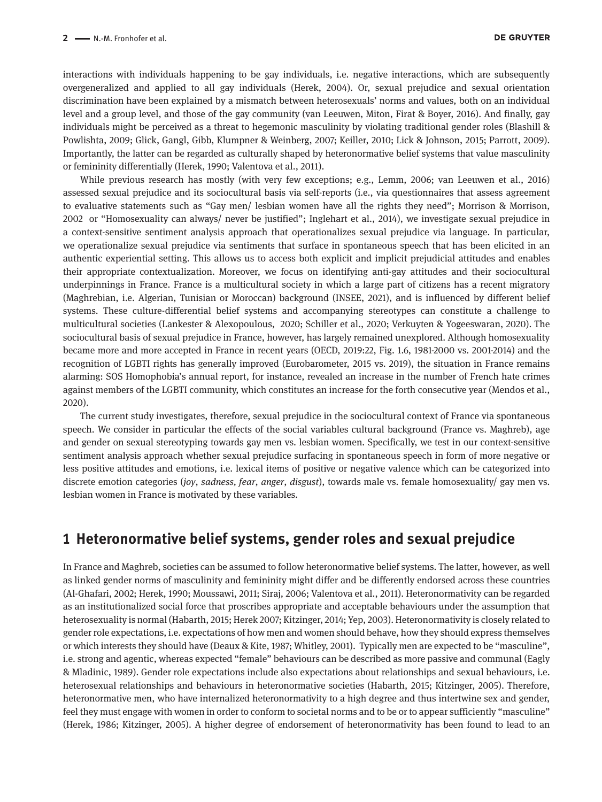interactions with individuals happening to be gay individuals, i.e. negative interactions, which are subsequently overgeneralized and applied to all gay individuals (Herek, 2004). Or, sexual prejudice and sexual orientation discrimination have been explained by a mismatch between heterosexuals' norms and values, both on an individual level and a group level, and those of the gay community (van Leeuwen, Miton, Firat & Boyer, 2016). And finally, gay individuals might be perceived as a threat to hegemonic masculinity by violating traditional gender roles (Blashill & Powlishta, 2009; Glick, Gangl, Gibb, Klumpner & Weinberg, 2007; Keiller, 2010; Lick & Johnson, 2015; Parrott, 2009). Importantly, the latter can be regarded as culturally shaped by heteronormative belief systems that value masculinity or femininity differentially (Herek, 1990; Valentova et al., 2011).

While previous research has mostly (with very few exceptions; e.g., Lemm, 2006; van Leeuwen et al., 2016) assessed sexual prejudice and its sociocultural basis via self-reports (i.e., via questionnaires that assess agreement to evaluative statements such as "Gay men/ lesbian women have all the rights they need"; Morrison & Morrison, 2002 or "Homosexuality can always/ never be justified"; Inglehart et al., 2014), we investigate sexual prejudice in a context-sensitive sentiment analysis approach that operationalizes sexual prejudice via language. In particular, we operationalize sexual prejudice via sentiments that surface in spontaneous speech that has been elicited in an authentic experiential setting. This allows us to access both explicit and implicit prejudicial attitudes and enables their appropriate contextualization. Moreover, we focus on identifying anti-gay attitudes and their sociocultural underpinnings in France. France is a multicultural society in which a large part of citizens has a recent migratory (Maghrebian, i.e. Algerian, Tunisian or Moroccan) background (INSEE, 2021), and is influenced by different belief systems. These culture-differential belief systems and accompanying stereotypes can constitute a challenge to multicultural societies (Lankester & Alexopoulous, 2020; Schiller et al., 2020; Verkuyten & Yogeeswaran, 2020). The sociocultural basis of sexual prejudice in France, however, has largely remained unexplored. Although homosexuality became more and more accepted in France in recent years (OECD, 2019:22, Fig. 1.6, 1981-2000 vs. 2001-2014) and the recognition of LGBTI rights has generally improved (Eurobarometer, 2015 vs. 2019), the situation in France remains alarming: SOS Homophobia's annual report, for instance, revealed an increase in the number of French hate crimes against members of the LGBTI community, which constitutes an increase for the forth consecutive year (Mendos et al., 2020).

The current study investigates, therefore, sexual prejudice in the sociocultural context of France via spontaneous speech. We consider in particular the effects of the social variables cultural background (France vs. Maghreb), age and gender on sexual stereotyping towards gay men vs. lesbian women. Specifically, we test in our context-sensitive sentiment analysis approach whether sexual prejudice surfacing in spontaneous speech in form of more negative or less positive attitudes and emotions, i.e. lexical items of positive or negative valence which can be categorized into discrete emotion categories (*joy*, *sadness, fear*, *anger*, *disgust*), towards male vs. female homosexuality/ gay men vs. lesbian women in France is motivated by these variables.

### **1 Heteronormative belief systems, gender roles and sexual prejudice**

In France and Maghreb, societies can be assumed to follow heteronormative belief systems. The latter, however, as well as linked gender norms of masculinity and femininity might differ and be differently endorsed across these countries (Al-Ghafari, 2002; Herek, 1990; Moussawi, 2011; Siraj, 2006; Valentova et al., 2011). Heteronormativity can be regarded as an institutionalized social force that proscribes appropriate and acceptable behaviours under the assumption that heterosexuality is normal (Habarth, 2015; Herek 2007; Kitzinger, 2014; Yep, 2003). Heteronormativity is closely related to gender role expectations, i.e. expectations of how men and women should behave, how they should express themselves or which interests they should have (Deaux & Kite, 1987; Whitley, 2001). Typically men are expected to be "masculine", i.e. strong and agentic, whereas expected "female" behaviours can be described as more passive and communal (Eagly & Mladinic, 1989). Gender role expectations include also expectations about relationships and sexual behaviours, i.e. heterosexual relationships and behaviours in heteronormative societies (Habarth, 2015; Kitzinger, 2005). Therefore, heteronormative men, who have internalized heteronormativity to a high degree and thus intertwine sex and gender, feel they must engage with women in order to conform to societal norms and to be or to appear sufficiently "masculine" (Herek, 1986; Kitzinger, 2005). A higher degree of endorsement of heteronormativity has been found to lead to an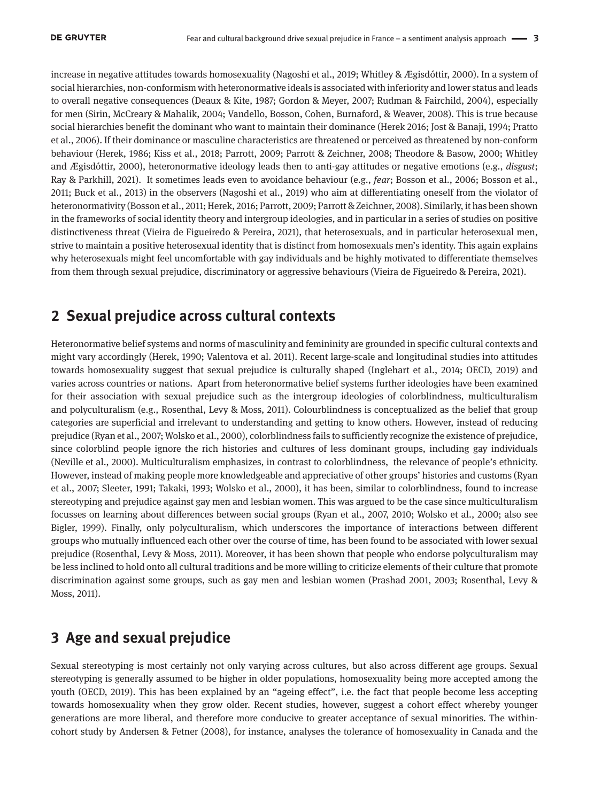increase in negative attitudes towards homosexuality (Nagoshi et al., 2019; Whitley & Ægisdóttir, 2000). In a system of social hierarchies, non-conformism with heteronormative ideals is associated with inferiority and lower status and leads to overall negative consequences (Deaux & Kite, 1987; Gordon & Meyer, 2007; Rudman & Fairchild, 2004), especially for men (Sirin, McCreary & Mahalik, 2004; Vandello, Bosson, Cohen, Burnaford, & Weaver, 2008). This is true because social hierarchies benefit the dominant who want to maintain their dominance (Herek 2016; Jost & Banaji, 1994; Pratto et al., 2006). If their dominance or masculine characteristics are threatened or perceived as threatened by non-conform behaviour (Herek, 1986; Kiss et al., 2018; Parrott, 2009; Parrott & Zeichner, 2008; Theodore & Basow, 2000; Whitley and Ægisdóttir, 2000), heteronormative ideology leads then to anti-gay attitudes or negative emotions (e.g., *disgust*; Ray & Parkhill, 2021). It sometimes leads even to avoidance behaviour (e.g., *fear*; Bosson et al., 2006; Bosson et al., 2011; Buck et al., 2013) in the observers (Nagoshi et al., 2019) who aim at differentiating oneself from the violator of heteronormativity (Bosson et al., 2011; Herek, 2016; Parrott, 2009; Parrott & Zeichner, 2008). Similarly, it has been shown in the frameworks of social identity theory and intergroup ideologies, and in particular in a series of studies on positive distinctiveness threat (Vieira de Figueiredo & Pereira, 2021), that heterosexuals, and in particular heterosexual men, strive to maintain a positive heterosexual identity that is distinct from homosexuals men's identity. This again explains why heterosexuals might feel uncomfortable with gay individuals and be highly motivated to differentiate themselves from them through sexual prejudice, discriminatory or aggressive behaviours (Vieira de Figueiredo & Pereira, 2021).

### **2 Sexual prejudice across cultural contexts**

Heteronormative belief systems and norms of masculinity and femininity are grounded in specific cultural contexts and might vary accordingly (Herek, 1990; Valentova et al. 2011). Recent large-scale and longitudinal studies into attitudes towards homosexuality suggest that sexual prejudice is culturally shaped (Inglehart et al., 2014; OECD, 2019) and varies across countries or nations. Apart from heteronormative belief systems further ideologies have been examined for their association with sexual prejudice such as the intergroup ideologies of colorblindness, multiculturalism and polyculturalism (e.g., Rosenthal, Levy & Moss, 2011). Colourblindness is conceptualized as the belief that group categories are superficial and irrelevant to understanding and getting to know others. However, instead of reducing prejudice (Ryan et al., 2007; Wolsko et al., 2000), colorblindness fails to sufficiently recognize the existence of prejudice, since colorblind people ignore the rich histories and cultures of less dominant groups, including gay individuals (Neville et al., 2000). Multiculturalism emphasizes, in contrast to colorblindness, the relevance of people's ethnicity. However, instead of making people more knowledgeable and appreciative of other groups' histories and customs (Ryan et al., 2007; Sleeter, 1991; Takaki, 1993; Wolsko et al., 2000), it has been, similar to colorblindness, found to increase stereotyping and prejudice against gay men and lesbian women. This was argued to be the case since multiculturalism focusses on learning about differences between social groups (Ryan et al., 2007, 2010; Wolsko et al., 2000; also see Bigler, 1999). Finally, only polyculturalism, which underscores the importance of interactions between different groups who mutually influenced each other over the course of time, has been found to be associated with lower sexual prejudice (Rosenthal, Levy & Moss, 2011). Moreover, it has been shown that people who endorse polyculturalism may be less inclined to hold onto all cultural traditions and be more willing to criticize elements of their culture that promote discrimination against some groups, such as gay men and lesbian women (Prashad 2001, 2003; Rosenthal, Levy & Moss, 2011).

## **3 Age and sexual prejudice**

Sexual stereotyping is most certainly not only varying across cultures, but also across different age groups. Sexual stereotyping is generally assumed to be higher in older populations, homosexuality being more accepted among the youth (OECD, 2019). This has been explained by an "ageing effect", i.e. the fact that people become less accepting towards homosexuality when they grow older. Recent studies, however, suggest a cohort effect whereby younger generations are more liberal, and therefore more conducive to greater acceptance of sexual minorities. The withincohort study by Andersen & Fetner (2008), for instance, analyses the tolerance of homosexuality in Canada and the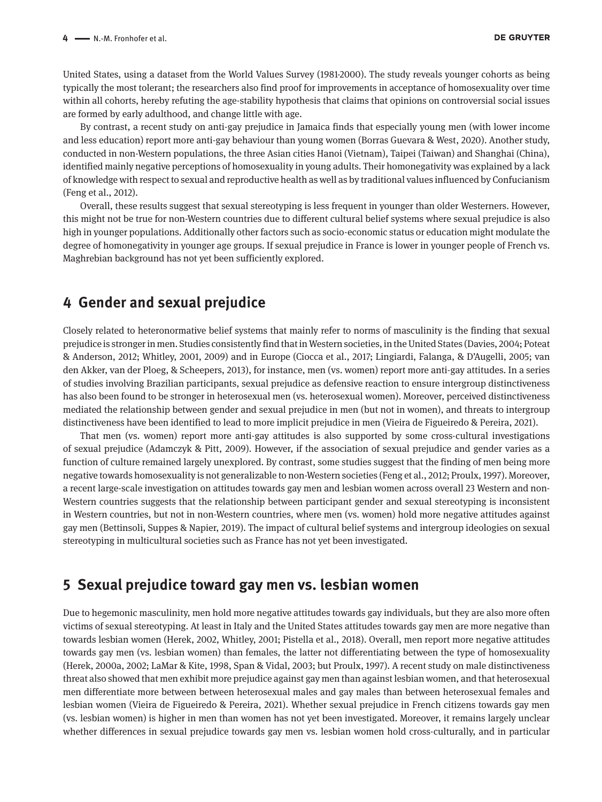United States, using a dataset from the World Values Survey (1981-2000). The study reveals younger cohorts as being typically the most tolerant; the researchers also find proof for improvements in acceptance of homosexuality over time within all cohorts, hereby refuting the age-stability hypothesis that claims that opinions on controversial social issues are formed by early adulthood, and change little with age.

By contrast, a recent study on anti-gay prejudice in Jamaica finds that especially young men (with lower income and less education) report more anti-gay behaviour than young women (Borras Guevara & West, 2020). Another study, conducted in non-Western populations, the three Asian cities Hanoi (Vietnam), Taipei (Taiwan) and Shanghai (China), identified mainly negative perceptions of homosexuality in young adults. Their homonegativity was explained by a lack of knowledge with respect to sexual and reproductive health as well as by traditional values influenced by Confucianism (Feng et al., 2012).

Overall, these results suggest that sexual stereotyping is less frequent in younger than older Westerners. However, this might not be true for non-Western countries due to different cultural belief systems where sexual prejudice is also high in younger populations. Additionally other factors such as socio-economic status or education might modulate the degree of homonegativity in younger age groups. If sexual prejudice in France is lower in younger people of French vs. Maghrebian background has not yet been sufficiently explored.

### **4 Gender and sexual prejudice**

Closely related to heteronormative belief systems that mainly refer to norms of masculinity is the finding that sexual prejudice is stronger in men. Studies consistently find that in Western societies, in the United States (Davies, 2004; Poteat & Anderson, 2012; Whitley, 2001, 2009) and in Europe (Ciocca et al., 2017; Lingiardi, Falanga, & D'Augelli, 2005; van den Akker, van der Ploeg, & Scheepers, 2013), for instance, men (vs. women) report more anti-gay attitudes. In a series of studies involving Brazilian participants, sexual prejudice as defensive reaction to ensure intergroup distinctiveness has also been found to be stronger in heterosexual men (vs. heterosexual women). Moreover, perceived distinctiveness mediated the relationship between gender and sexual prejudice in men (but not in women), and threats to intergroup distinctiveness have been identified to lead to more implicit prejudice in men (Vieira de Figueiredo & Pereira, 2021).

That men (vs. women) report more anti-gay attitudes is also supported by some cross-cultural investigations of sexual prejudice (Adamczyk & Pitt, 2009). However, if the association of sexual prejudice and gender varies as a function of culture remained largely unexplored. By contrast, some studies suggest that the finding of men being more negative towards homosexuality is not generalizable to non-Western societies (Feng et al., 2012; Proulx, 1997). Moreover, a recent large-scale investigation on attitudes towards gay men and lesbian women across overall 23 Western and non-Western countries suggests that the relationship between participant gender and sexual stereotyping is inconsistent in Western countries, but not in non-Western countries, where men (vs. women) hold more negative attitudes against gay men (Bettinsoli, Suppes & Napier, 2019). The impact of cultural belief systems and intergroup ideologies on sexual stereotyping in multicultural societies such as France has not yet been investigated.

### **5 Sexual prejudice toward gay men vs. lesbian women**

Due to hegemonic masculinity, men hold more negative attitudes towards gay individuals, but they are also more often victims of sexual stereotyping. At least in Italy and the United States attitudes towards gay men are more negative than towards lesbian women (Herek, 2002, Whitley, 2001; Pistella et al., 2018). Overall, men report more negative attitudes towards gay men (vs. lesbian women) than females, the latter not differentiating between the type of homosexuality (Herek, 2000a, 2002; LaMar & Kite, 1998, Span & Vidal, 2003; but Proulx, 1997). A recent study on male distinctiveness threat also showed that men exhibit more prejudice against gay men than against lesbian women, and that heterosexual men differentiate more between between heterosexual males and gay males than between heterosexual females and lesbian women (Vieira de Figueiredo & Pereira, 2021). Whether sexual prejudice in French citizens towards gay men (vs. lesbian women) is higher in men than women has not yet been investigated. Moreover, it remains largely unclear whether differences in sexual prejudice towards gay men vs. lesbian women hold cross-culturally, and in particular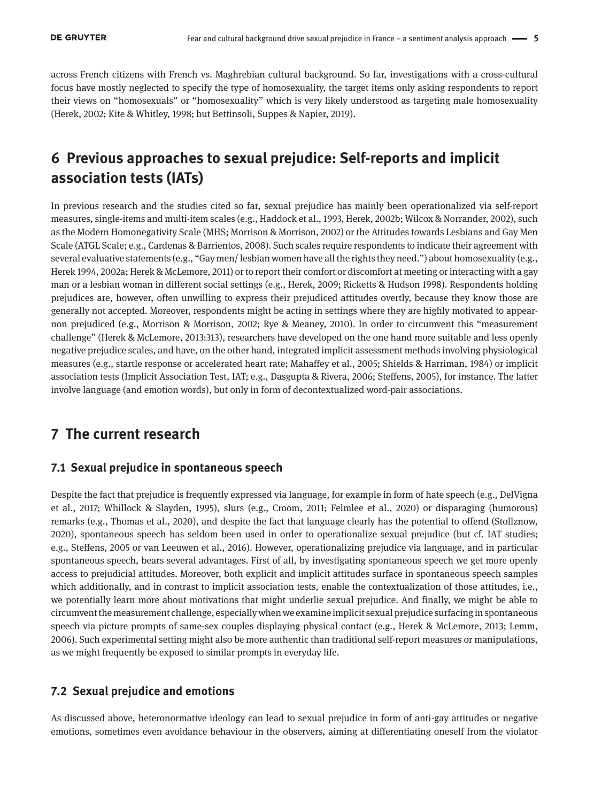across French citizens with French vs. Maghrebian cultural background. So far, investigations with a cross-cultural focus have mostly neglected to specify the type of homosexuality, the target items only asking respondents to report their views on "homosexuals" or "homosexuality" which is very likely understood as targeting male homosexuality (Herek, 2002; Kite & Whitley, 1998; but Bettinsoli, Suppes & Napier, 2019).

## **6 Previous approaches to sexual prejudice: Self-reports and implicit association tests (IATs)**

In previous research and the studies cited so far, sexual prejudice has mainly been operationalized via self-report measures, single-items and multi-item scales (e.g., Haddock et al., 1993, Herek, 2002b; Wilcox & Norrander, 2002), such as the Modern Homonegativity Scale (MHS; Morrison & Morrison, 2002) or the Attitudes towards Lesbians and Gay Men Scale (ATGL Scale; e.g., Cardenas & Barrientos, 2008). Such scales require respondents to indicate their agreement with several evaluative statements (e.g., "Gay men/ lesbian women have all the rights they need.") about homosexuality (e.g., Herek 1994, 2002a; Herek & McLemore, 2011) or to report their comfort or discomfort at meeting or interacting with a gay man or a lesbian woman in different social settings (e.g., Herek, 2009; Ricketts & Hudson 1998). Respondents holding prejudices are, however, often unwilling to express their prejudiced attitudes overtly, because they know those are generally not accepted. Moreover, respondents might be acting in settings where they are highly motivated to appearnon prejudiced (e.g., Morrison & Morrison, 2002; Rye & Meaney, 2010). In order to circumvent this "measurement challenge" (Herek & McLemore, 2013:313), researchers have developed on the one hand more suitable and less openly negative prejudice scales, and have, on the other hand, integrated implicit assessment methods involving physiological measures (e.g., startle response or accelerated heart rate; Mahaffey et al., 2005; Shields & Harriman, 1984) or implicit association tests (Implicit Association Test, IAT; e.g., Dasgupta & Rivera, 2006; Steffens, 2005), for instance. The latter involve language (and emotion words), but only in form of decontextualized word-pair associations.

### **7 The current research**

### **7.1 Sexual prejudice in spontaneous speech**

Despite the fact that prejudice is frequently expressed via language, for example in form of hate speech (e.g., DelVigna et al., 2017; Whillock & Slayden, 1995), slurs (e.g., Croom, 2011; Felmlee et al., 2020) or disparaging (humorous) remarks (e.g., Thomas et al., 2020), and despite the fact that language clearly has the potential to offend (Stollznow, 2020), spontaneous speech has seldom been used in order to operationalize sexual prejudice (but cf. IAT studies; e.g., Steffens, 2005 or van Leeuwen et al., 2016). However, operationalizing prejudice via language, and in particular spontaneous speech, bears several advantages. First of all, by investigating spontaneous speech we get more openly access to prejudicial attitudes. Moreover, both explicit and implicit attitudes surface in spontaneous speech samples which additionally, and in contrast to implicit association tests, enable the contextualization of those attitudes, i.e., we potentially learn more about motivations that might underlie sexual prejudice. And finally, we might be able to circumvent the measurement challenge, especially when we examine implicit sexual prejudice surfacing in spontaneous speech via picture prompts of same-sex couples displaying physical contact (e.g., Herek & McLemore, 2013; Lemm, 2006). Such experimental setting might also be more authentic than traditional self-report measures or manipulations, as we might frequently be exposed to similar prompts in everyday life.

### **7.2 Sexual prejudice and emotions**

As discussed above, heteronormative ideology can lead to sexual prejudice in form of anti-gay attitudes or negative emotions, sometimes even avoidance behaviour in the observers, aiming at differentiating oneself from the violator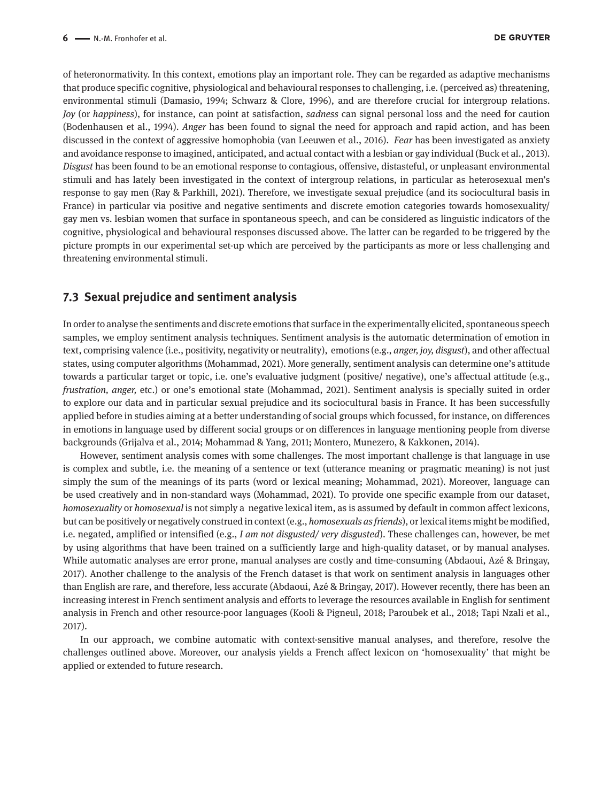of heteronormativity. In this context, emotions play an important role. They can be regarded as adaptive mechanisms that produce specific cognitive, physiological and behavioural responses to challenging, i.e. (perceived as) threatening, environmental stimuli (Damasio, 1994; Schwarz & Clore, 1996), and are therefore crucial for intergroup relations. *Joy* (or *happiness*), for instance, can point at satisfaction, *sadness* can signal personal loss and the need for caution (Bodenhausen et al., 1994). *Anger* has been found to signal the need for approach and rapid action, and has been discussed in the context of aggressive homophobia (van Leeuwen et al., 2016). *Fear* has been investigated as anxiety and avoidance response to imagined, anticipated, and actual contact with a lesbian or gay individual (Buck et al., 2013)*. Disgust* has been found to be an emotional response to contagious, offensive, distasteful, or unpleasant environmental stimuli and has lately been investigated in the context of intergroup relations, in particular as heterosexual men's response to gay men (Ray & Parkhill, 2021). Therefore, we investigate sexual prejudice (and its sociocultural basis in France) in particular via positive and negative sentiments and discrete emotion categories towards homosexuality/ gay men vs. lesbian women that surface in spontaneous speech, and can be considered as linguistic indicators of the cognitive, physiological and behavioural responses discussed above. The latter can be regarded to be triggered by the picture prompts in our experimental set-up which are perceived by the participants as more or less challenging and threatening environmental stimuli.

### **7.3 Sexual prejudice and sentiment analysis**

In order to analyse the sentiments and discrete emotions that surface in the experimentally elicited, spontaneous speech samples, we employ sentiment analysis techniques. Sentiment analysis is the automatic determination of emotion in text, comprising valence (i.e., positivity, negativity or neutrality), emotions (e.g., *anger, joy, disgust*), and other affectual states, using computer algorithms (Mohammad, 2021). More generally, sentiment analysis can determine one's attitude towards a particular target or topic, i.e. one's evaluative judgment (positive/ negative), one's affectual attitude (e.g., *frustration, anger,* etc.) or one's emotional state (Mohammad, 2021). Sentiment analysis is specially suited in order to explore our data and in particular sexual prejudice and its sociocultural basis in France. It has been successfully applied before in studies aiming at a better understanding of social groups which focussed, for instance, on differences in emotions in language used by different social groups or on differences in language mentioning people from diverse backgrounds (Grijalva et al., 2014; Mohammad & Yang, 2011; Montero, Munezero, & Kakkonen, 2014).

However, sentiment analysis comes with some challenges. The most important challenge is that language in use is complex and subtle, i.e. the meaning of a sentence or text (utterance meaning or pragmatic meaning) is not just simply the sum of the meanings of its parts (word or lexical meaning; Mohammad, 2021). Moreover, language can be used creatively and in non-standard ways (Mohammad, 2021). To provide one specific example from our dataset, *homosexuality* or *homosexual* is not simply a negative lexical item, as is assumed by default in common affect lexicons, but can be positively or negatively construed in context (e.g., *homosexuals as friends*), or lexical items might be modified, i.e. negated, amplified or intensified (e.g., *I am not disgusted/ very disgusted*). These challenges can, however, be met by using algorithms that have been trained on a sufficiently large and high-quality dataset, or by manual analyses. While automatic analyses are error prone, manual analyses are costly and time-consuming (Abdaoui, Azé & Bringay, 2017). Another challenge to the analysis of the French dataset is that work on sentiment analysis in languages other than English are rare, and therefore, less accurate (Abdaoui, Azé & Bringay, 2017). However recently, there has been an increasing interest in French sentiment analysis and efforts to leverage the resources available in English for sentiment analysis in French and other resource-poor languages (Kooli & Pigneul, 2018; Paroubek et al., 2018; Tapi Nzali et al., 2017).

In our approach, we combine automatic with context-sensitive manual analyses, and therefore, resolve the challenges outlined above. Moreover, our analysis yields a French affect lexicon on 'homosexuality' that might be applied or extended to future research.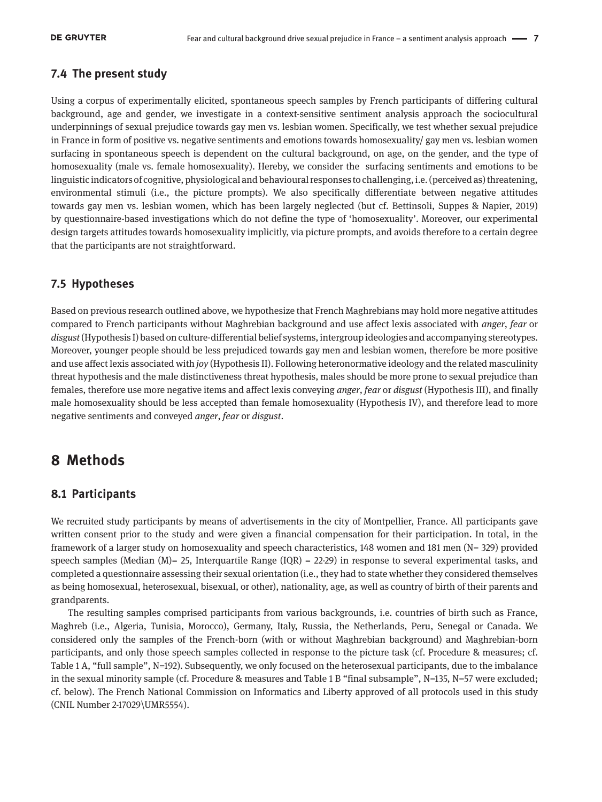### **7.4 The present study**

Using a corpus of experimentally elicited, spontaneous speech samples by French participants of differing cultural background, age and gender, we investigate in a context-sensitive sentiment analysis approach the sociocultural underpinnings of sexual prejudice towards gay men vs. lesbian women. Specifically, we test whether sexual prejudice in France in form of positive vs. negative sentiments and emotions towards homosexuality/ gay men vs. lesbian women surfacing in spontaneous speech is dependent on the cultural background, on age, on the gender, and the type of homosexuality (male vs. female homosexuality). Hereby, we consider the surfacing sentiments and emotions to be linguistic indicators of cognitive, physiological and behavioural responses to challenging, i.e. (perceived as) threatening, environmental stimuli (i.e., the picture prompts). We also specifically differentiate between negative attitudes towards gay men vs. lesbian women, which has been largely neglected (but cf. Bettinsoli, Suppes & Napier, 2019) by questionnaire-based investigations which do not define the type of 'homosexuality'. Moreover, our experimental design targets attitudes towards homosexuality implicitly, via picture prompts, and avoids therefore to a certain degree that the participants are not straightforward.

### **7.5 Hypotheses**

Based on previous research outlined above, we hypothesize that French Maghrebians may hold more negative attitudes compared to French participants without Maghrebian background and use affect lexis associated with *anger*, *fear* or *disgust* (Hypothesis I) based on culture-differential belief systems, intergroup ideologies and accompanying stereotypes. Moreover, younger people should be less prejudiced towards gay men and lesbian women, therefore be more positive and use affect lexis associated with *joy* (Hypothesis II). Following heteronormative ideology and the related masculinity threat hypothesis and the male distinctiveness threat hypothesis, males should be more prone to sexual prejudice than females, therefore use more negative items and affect lexis conveying *anger*, *fear* or *disgust* (Hypothesis III), and finally male homosexuality should be less accepted than female homosexuality (Hypothesis IV), and therefore lead to more negative sentiments and conveyed *anger*, *fear* or *disgust*.

### **8 Methods**

### **8.1 Participants**

We recruited study participants by means of advertisements in the city of Montpellier, France. All participants gave written consent prior to the study and were given a financial compensation for their participation. In total, in the framework of a larger study on homosexuality and speech characteristics, 148 women and 181 men (N= 329) provided speech samples (Median  $(M)$  = 25, Interquartile Range (IQR) = 22-29) in response to several experimental tasks, and completed a questionnaire assessing their sexual orientation (i.e., they had to state whether they considered themselves as being homosexual, heterosexual, bisexual, or other), nationality, age, as well as country of birth of their parents and grandparents.

The resulting samples comprised participants from various backgrounds, i.e. countries of birth such as France, Maghreb (i.e., Algeria, Tunisia, Morocco), Germany, Italy, Russia, the Netherlands, Peru, Senegal or Canada. We considered only the samples of the French-born (with or without Maghrebian background) and Maghrebian-born participants, and only those speech samples collected in response to the picture task (cf. Procedure & measures; cf. Table 1 A, "full sample", N=192). Subsequently, we only focused on the heterosexual participants, due to the imbalance in the sexual minority sample (cf. Procedure & measures and Table 1 B "final subsample", N=135, N=57 were excluded; cf. below). The French National Commission on Informatics and Liberty approved of all protocols used in this study (CNIL Number 2-17029\UMR5554).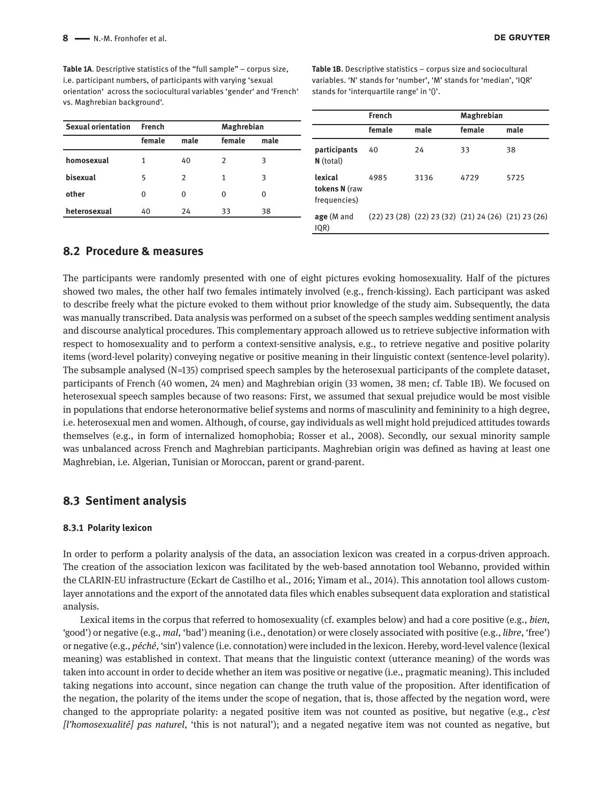**Table 1A**. Descriptive statistics of the "full sample" – corpus size, i.e. participant numbers, of participants with varying 'sexual orientation' across the sociocultural variables 'gender' and 'French' vs. Maghrebian background'.

**Table 1B**. Descriptive statistics – corpus size and sociocultural variables. 'N' stands for 'number', 'M' stands for 'median', 'IQR' stands for 'interquartile range' in '()'.

| male | female | male                                                              |
|------|--------|-------------------------------------------------------------------|
|      |        | 38                                                                |
|      |        |                                                                   |
| 3136 | 4729   | 5725                                                              |
|      |        |                                                                   |
|      |        |                                                                   |
|      | 24     | 33<br>$(22)$ 23 (28) $(22)$ 23 (32) $(21)$ 24 (26) $(21)$ 23 (26) |

### **8.2 Procedure & measures**

The participants were randomly presented with one of eight pictures evoking homosexuality. Half of the pictures showed two males, the other half two females intimately involved (e.g., french-kissing). Each participant was asked to describe freely what the picture evoked to them without prior knowledge of the study aim. Subsequently, the data was manually transcribed. Data analysis was performed on a subset of the speech samples wedding sentiment analysis and discourse analytical procedures. This complementary approach allowed us to retrieve subjective information with respect to homosexuality and to perform a context-sensitive analysis, e.g., to retrieve negative and positive polarity items (word-level polarity) conveying negative or positive meaning in their linguistic context (sentence-level polarity). The subsample analysed (N=135) comprised speech samples by the heterosexual participants of the complete dataset, participants of French (40 women, 24 men) and Maghrebian origin (33 women, 38 men; cf. Table 1B). We focused on heterosexual speech samples because of two reasons: First, we assumed that sexual prejudice would be most visible in populations that endorse heteronormative belief systems and norms of masculinity and femininity to a high degree, i.e. heterosexual men and women. Although, of course, gay individuals as well might hold prejudiced attitudes towards themselves (e.g., in form of internalized homophobia; Rosser et al., 2008). Secondly, our sexual minority sample was unbalanced across French and Maghrebian participants. Maghrebian origin was defined as having at least one Maghrebian, i.e. Algerian, Tunisian or Moroccan, parent or grand-parent.

### **8.3 Sentiment analysis**

#### **8.3.1 Polarity lexicon**

In order to perform a polarity analysis of the data, an association lexicon was created in a corpus-driven approach. The creation of the association lexicon was facilitated by the web-based annotation tool Webanno, provided within the CLARIN-EU infrastructure (Eckart de Castilho et al., 2016; Yimam et al., 2014). This annotation tool allows customlayer annotations and the export of the annotated data files which enables subsequent data exploration and statistical analysis.

Lexical items in the corpus that referred to homosexuality (cf. examples below) and had a core positive (e.g., *bien*, 'good') or negative (e.g., *mal*, 'bad') meaning (i.e., denotation) or were closely associated with positive (e.g., *libre*, 'free') or negative (e.g., *péché*, 'sin') valence (i.e. connotation) were included in the lexicon. Hereby, word-level valence (lexical meaning) was established in context. That means that the linguistic context (utterance meaning) of the words was taken into account in order to decide whether an item was positive or negative (i.e., pragmatic meaning). This included taking negations into account, since negation can change the truth value of the proposition. After identification of the negation, the polarity of the items under the scope of negation, that is, those affected by the negation word, were changed to the appropriate polarity: a negated positive item was not counted as positive, but negative (e.g., *c'est [l'homosexualité] pas naturel*, 'this is not natural'); and a negated negative item was not counted as negative, but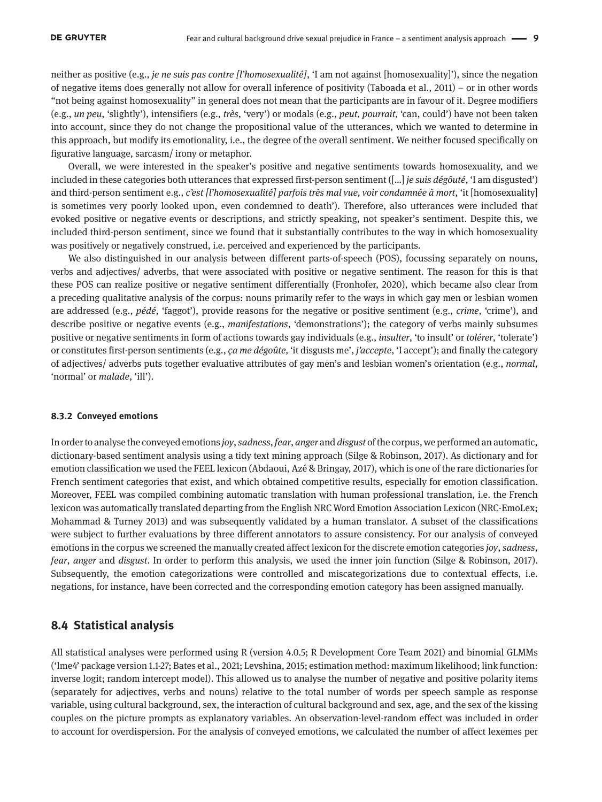neither as positive (e.g., *je ne suis pas contre [l'homosexualité]*, 'I am not against [homosexuality]'), since the negation of negative items does generally not allow for overall inference of positivity (Taboada et al., 2011) – or in other words "not being against homosexuality" in general does not mean that the participants are in favour of it. Degree modifiers (e.g., *un peu*, 'slightly'), intensifiers (e.g., *très*, 'very') or modals (e.g., *peut, pourrait,* 'can, could') have not been taken into account, since they do not change the propositional value of the utterances, which we wanted to determine in this approach, but modify its emotionality, i.e., the degree of the overall sentiment. We neither focused specifically on figurative language, sarcasm/ irony or metaphor.

Overall, we were interested in the speaker's positive and negative sentiments towards homosexuality, and we included in these categories both utterances that expressed first-person sentiment ([…] *je suis dégôuté*, 'I am disgusted') and third-person sentiment e.g., *c'est [l'homosexualité] parfois très mal vue, voir condamnée à mort*, 'it [homosexuality] is sometimes very poorly looked upon, even condemned to death'). Therefore, also utterances were included that evoked positive or negative events or descriptions, and strictly speaking, not speaker's sentiment. Despite this, we included third-person sentiment, since we found that it substantially contributes to the way in which homosexuality was positively or negatively construed, i.e. perceived and experienced by the participants.

We also distinguished in our analysis between different parts-of-speech (POS), focussing separately on nouns, verbs and adjectives/ adverbs, that were associated with positive or negative sentiment. The reason for this is that these POS can realize positive or negative sentiment differentially (Fronhofer, 2020), which became also clear from a preceding qualitative analysis of the corpus: nouns primarily refer to the ways in which gay men or lesbian women are addressed (e.g., *pédé*, 'faggot'), provide reasons for the negative or positive sentiment (e.g., *crime*, 'crime'), and describe positive or negative events (e.g., *manifestations*, 'demonstrations'); the category of verbs mainly subsumes positive or negative sentiments in form of actions towards gay individuals (e.g., *insulter*, 'to insult' or *tolérer*, 'tolerate') or constitutes first-person sentiments (e.g., *ça me dégoûte,* 'it disgusts me', *j'accepte*, 'I accept'); and finally the category of adjectives/ adverbs puts together evaluative attributes of gay men's and lesbian women's orientation (e.g., *normal*, 'normal' or *malade*, 'ill').

#### **8.3.2 Conveyed emotions**

In order to analyse the conveyed emotions *joy*, *sadness*, *fear*, *anger* and *disgust* of the corpus, we performed an automatic, dictionary-based sentiment analysis using a tidy text mining approach (Silge & Robinson, 2017). As dictionary and for emotion classification we used the FEEL lexicon (Abdaoui, Azé & Bringay, 2017), which is one of the rare dictionaries for French sentiment categories that exist, and which obtained competitive results, especially for emotion classification. Moreover, FEEL was compiled combining automatic translation with human professional translation, i.e. the French lexicon was automatically translated departing from the English NRC Word Emotion Association Lexicon (NRC-EmoLex; Mohammad & Turney 2013) and was subsequently validated by a human translator. A subset of the classifications were subject to further evaluations by three different annotators to assure consistency. For our analysis of conveyed emotions in the corpus we screened the manually created affect lexicon for the discrete emotion categories *joy*, *sadness*, *fear*, *anger* and *disgust*. In order to perform this analysis, we used the inner join function (Silge & Robinson, 2017). Subsequently, the emotion categorizations were controlled and miscategorizations due to contextual effects, i.e. negations, for instance, have been corrected and the corresponding emotion category has been assigned manually.

### **8.4 Statistical analysis**

All statistical analyses were performed using R (version 4.0.5; R Development Core Team 2021) and binomial GLMMs ('lme4' package version 1.1-27; Bates et al., 2021; Levshina, 2015; estimation method: maximum likelihood; link function: inverse logit; random intercept model). This allowed us to analyse the number of negative and positive polarity items (separately for adjectives, verbs and nouns) relative to the total number of words per speech sample as response variable, using cultural background, sex, the interaction of cultural background and sex, age, and the sex of the kissing couples on the picture prompts as explanatory variables. An observation-level-random effect was included in order to account for overdispersion. For the analysis of conveyed emotions, we calculated the number of affect lexemes per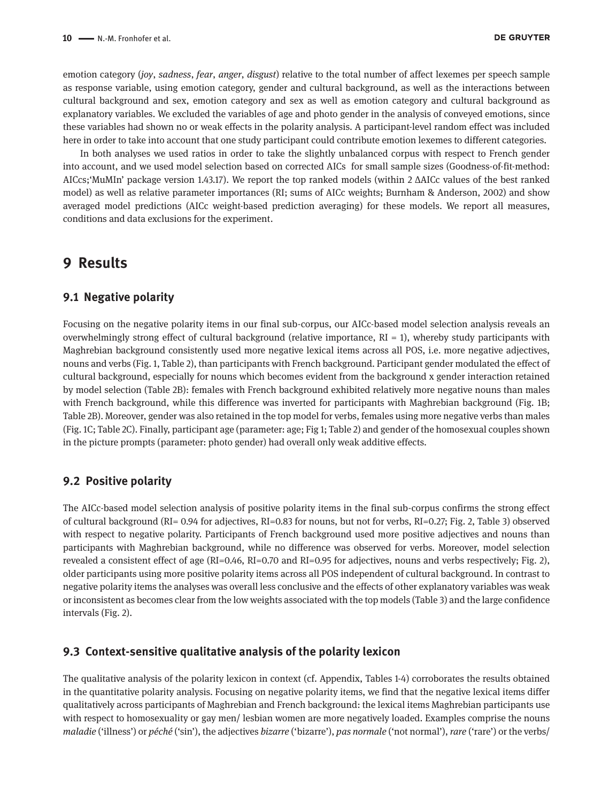emotion category (*joy*, *sadness*, *fear*, *anger*, *disgust*) relative to the total number of affect lexemes per speech sample as response variable, using emotion category, gender and cultural background, as well as the interactions between cultural background and sex, emotion category and sex as well as emotion category and cultural background as explanatory variables. We excluded the variables of age and photo gender in the analysis of conveyed emotions, since these variables had shown no or weak effects in the polarity analysis. A participant-level random effect was included here in order to take into account that one study participant could contribute emotion lexemes to different categories.

In both analyses we used ratios in order to take the slightly unbalanced corpus with respect to French gender into account, and we used model selection based on corrected AICs for small sample sizes (Goodness-of-fit-method: AICcs;'MuMIn' package version 1.43.17). We report the top ranked models (within 2 ΔAICc values of the best ranked model) as well as relative parameter importances (RI; sums of AICc weights; Burnham & Anderson, 2002) and show averaged model predictions (AICc weight-based prediction averaging) for these models. We report all measures, conditions and data exclusions for the experiment.

### **9 Results**

### **9.1 Negative polarity**

Focusing on the negative polarity items in our final sub-corpus, our AICc-based model selection analysis reveals an overwhelmingly strong effect of cultural background (relative importance,  $RI = 1$ ), whereby study participants with Maghrebian background consistently used more negative lexical items across all POS, i.e. more negative adjectives, nouns and verbs (Fig. 1, Table 2), than participants with French background. Participant gender modulated the effect of cultural background, especially for nouns which becomes evident from the background x gender interaction retained by model selection (Table 2B): females with French background exhibited relatively more negative nouns than males with French background, while this difference was inverted for participants with Maghrebian background (Fig. 1B; Table 2B). Moreover, gender was also retained in the top model for verbs, females using more negative verbs than males (Fig. 1C; Table 2C). Finally, participant age (parameter: age; Fig 1; Table 2) and gender of the homosexual couples shown in the picture prompts (parameter: photo gender) had overall only weak additive effects.

#### **9.2 Positive polarity**

The AICc-based model selection analysis of positive polarity items in the final sub-corpus confirms the strong effect of cultural background (RI= 0.94 for adjectives, RI=0.83 for nouns, but not for verbs, RI=0.27; Fig. 2, Table 3) observed with respect to negative polarity. Participants of French background used more positive adjectives and nouns than participants with Maghrebian background, while no difference was observed for verbs. Moreover, model selection revealed a consistent effect of age (RI=0.46, RI=0.70 and RI=0.95 for adjectives, nouns and verbs respectively; Fig. 2), older participants using more positive polarity items across all POS independent of cultural background. In contrast to negative polarity items the analyses was overall less conclusive and the effects of other explanatory variables was weak or inconsistent as becomes clear from the low weights associated with the top models (Table 3) and the large confidence intervals (Fig. 2).

#### **9.3 Context-sensitive qualitative analysis of the polarity lexicon**

The qualitative analysis of the polarity lexicon in context (cf. Appendix, Tables 1-4) corroborates the results obtained in the quantitative polarity analysis. Focusing on negative polarity items, we find that the negative lexical items differ qualitatively across participants of Maghrebian and French background: the lexical items Maghrebian participants use with respect to homosexuality or gay men/ lesbian women are more negatively loaded. Examples comprise the nouns *maladie* ('illness') or *péché* ('sin'), the adjectives *bizarre* ('bizarre'), *pas normale* ('not normal'), *rare* ('rare') or the verbs/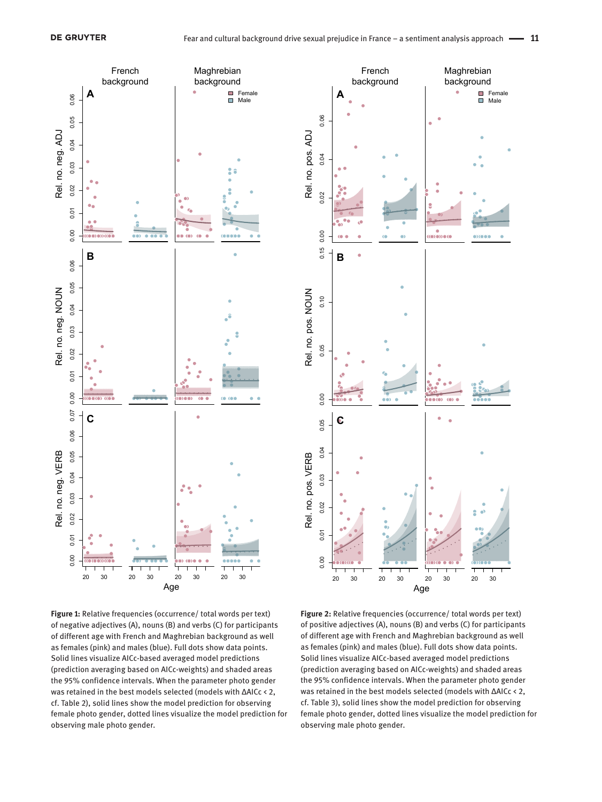

**Figure 1:** Relative frequencies (occurrence/ total words per text) of negative adjectives (A), nouns (B) and verbs (C) for participants of different age with French and Maghrebian background as well as females (pink) and males (blue). Full dots show data points. Solid lines visualize AICc-based averaged model predictions (prediction averaging based on AICc-weights) and shaded areas the 95% confidence intervals. When the parameter photo gender was retained in the best models selected (models with ΔAICc < 2, cf. Table 2), solid lines show the model prediction for observing female photo gender, dotted lines visualize the model prediction for observing male photo gender.



**Figure 2:** Relative frequencies (occurrence/ total words per text) of positive adjectives (A), nouns (B) and verbs (C) for participants of different age with French and Maghrebian background as well as females (pink) and males (blue). Full dots show data points. Solid lines visualize AICc-based averaged model predictions (prediction averaging based on AICc-weights) and shaded areas the 95% confidence intervals. When the parameter photo gender was retained in the best models selected (models with ΔAICc < 2, cf. Table 3), solid lines show the model prediction for observing female photo gender, dotted lines visualize the model prediction for observing male photo gender.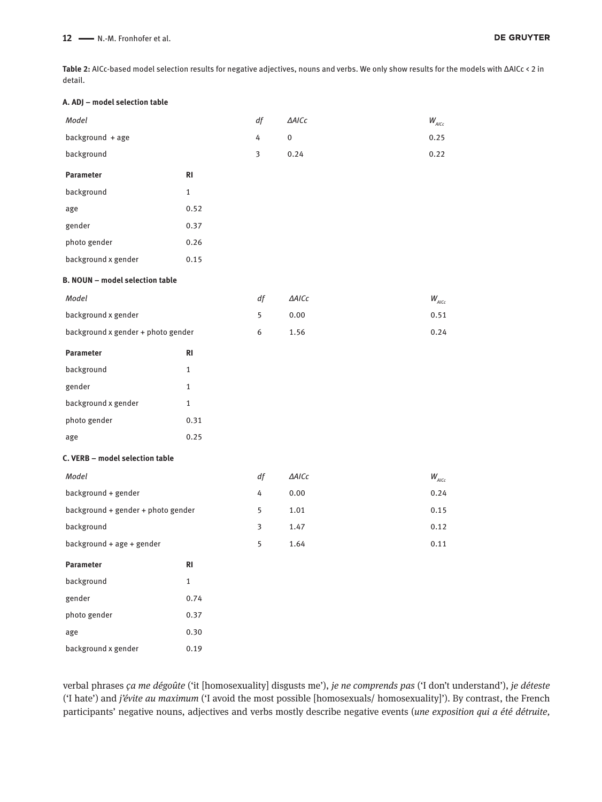**Table 2:** AICc-based model selection results for negative adjectives, nouns and verbs. We only show results for the models with ΔAICc < 2 in detail.

#### **A. ADJ – model selection table**

| Model                                  |                | df | $\triangle AICc$ | $W_{_{AICc}}$ |
|----------------------------------------|----------------|----|------------------|---------------|
| background + age                       |                | 4  | $\pmb{0}$        | 0.25          |
| background                             |                | 3  | 0.24             | 0.22          |
| Parameter                              | R <sub>l</sub> |    |                  |               |
| background                             | $\mathbf{1}$   |    |                  |               |
| age                                    | 0.52           |    |                  |               |
| gender                                 | 0.37           |    |                  |               |
| photo gender                           | 0.26           |    |                  |               |
| background x gender                    | 0.15           |    |                  |               |
| <b>B. NOUN - model selection table</b> |                |    |                  |               |
| Model                                  |                | df | $\triangle AICc$ | $W_{AICc}$    |
| background x gender                    |                | 5  | 0.00             | 0.51          |
| background x gender + photo gender     |                | 6  | 1.56             | 0.24          |
| Parameter                              | <b>RI</b>      |    |                  |               |
| background                             | 1              |    |                  |               |
| gender                                 | $\mathbf{1}$   |    |                  |               |
| background x gender                    | 1              |    |                  |               |
| photo gender                           | 0.31           |    |                  |               |
| age                                    | 0.25           |    |                  |               |
| C. VERB - model selection table        |                |    |                  |               |
| Model                                  |                | df | $\triangle AICc$ | $W_{AICc}$    |
| background + gender                    |                | 4  | 0.00             | 0.24          |
| background + gender + photo gender     |                | 5  | 1.01             | 0.15          |
| background                             |                | 3  | 1.47             | 0.12          |
| background + age + gender              |                | 5  | 1.64             | 0.11          |
| Parameter                              | RI             |    |                  |               |
| background                             | $\mathbf{1}$   |    |                  |               |
| gender                                 | 0.74           |    |                  |               |
| photo gender                           | 0.37           |    |                  |               |
| age                                    | 0.30           |    |                  |               |
| background x gender                    | 0.19           |    |                  |               |

verbal phrases *ça me dégoûte* ('it [homosexuality] disgusts me'), *je ne comprends pas* ('I don't understand'), *je déteste*  ('I hate') and *j'évite au maximum* ('I avoid the most possible [homosexuals/ homosexuality]'). By contrast, the French participants' negative nouns, adjectives and verbs mostly describe negative events (*une exposition qui a été détruite,*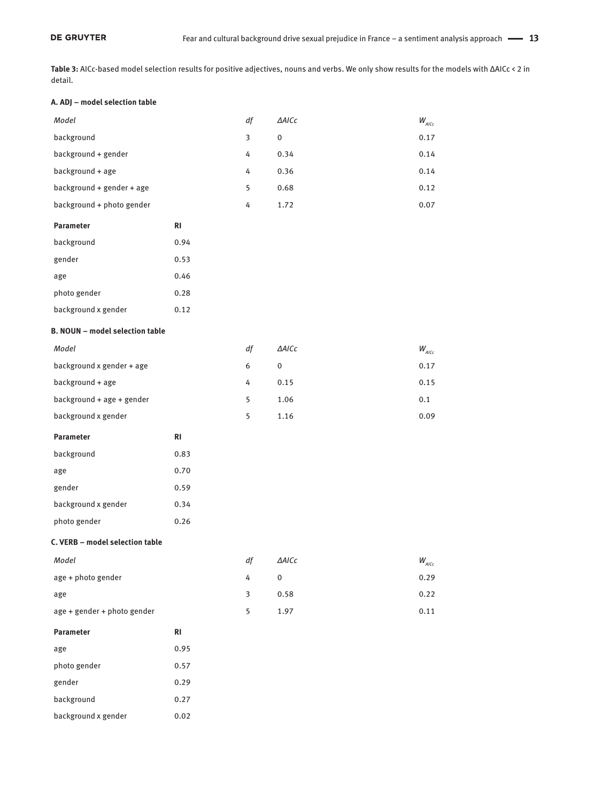**Table 3:** AICc-based model selection results for positive adjectives, nouns and verbs. We only show results for the models with ΔAICc < 2 in detail.

#### **A. ADJ – model selection table**

gender 0.29 background 0.27 background x gender 0.02

| Model                                  |                | df | $\triangle$ AICc | $W_{AICc}$    |
|----------------------------------------|----------------|----|------------------|---------------|
| background                             |                | 3  | $\pmb{0}$        | 0.17          |
| background + gender                    |                | 4  | 0.34             | 0.14          |
| background + age                       |                | 4  | 0.36             | 0.14          |
| background + gender + age              |                | 5  | 0.68             | 0.12          |
| background + photo gender              |                | 4  | 1.72             | 0.07          |
| Parameter                              | R <sub>l</sub> |    |                  |               |
| background                             | 0.94           |    |                  |               |
| gender                                 | 0.53           |    |                  |               |
| age                                    | 0.46           |    |                  |               |
| photo gender                           | 0.28           |    |                  |               |
| background x gender                    | 0.12           |    |                  |               |
| <b>B. NOUN - model selection table</b> |                |    |                  |               |
| Model                                  |                | df | $\triangle$ AICc | $W_{_{AICc}}$ |
| background x gender + age              |                | 6  | 0                | 0.17          |
| background + age                       |                | 4  | 0.15             | 0.15          |
| background + age + gender              |                | 5  | 1.06             | 0.1           |
| background x gender                    |                | 5  | 1.16             | 0.09          |
| Parameter                              | R <sub>l</sub> |    |                  |               |
| background                             | 0.83           |    |                  |               |
| age                                    | 0.70           |    |                  |               |
| gender                                 | 0.59           |    |                  |               |
| background x gender                    | 0.34           |    |                  |               |
| photo gender                           | 0.26           |    |                  |               |
| C. VERB - model selection table        |                |    |                  |               |
| Model                                  |                |    | df <b>AAICc</b>  | $W_{_{AICc}}$ |
| age + photo gender                     |                | 4  | $\pmb{0}$        | 0.29          |
| age                                    |                | 3  | 0.58             | 0.22          |
| age + gender + photo gender            |                | 5  | 1.97             | 0.11          |
| Parameter                              | $\mathsf{RI}$  |    |                  |               |
| age                                    | 0.95           |    |                  |               |
| photo gender                           | 0.57           |    |                  |               |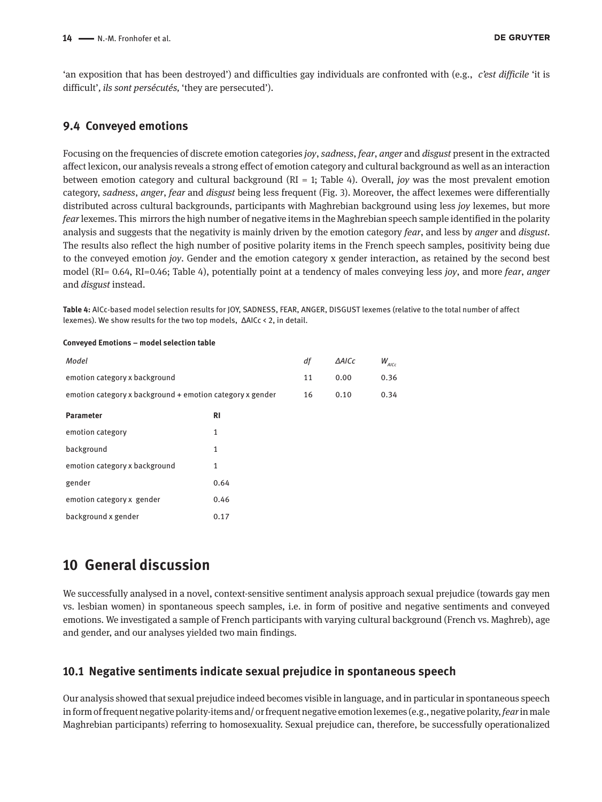'an exposition that has been destroyed') and difficulties gay individuals are confronted with (e.g., *c'est difficile* 'it is difficult'*, ils sont persécutés,* 'they are persecuted').

### **9.4 Conveyed emotions**

Focusing on the frequencies of discrete emotion categories *joy*, *sadness*, *fear*, *anger* and *disgust* present in the extracted affect lexicon, our analysis reveals a strong effect of emotion category and cultural background as well as an interaction between emotion category and cultural background (RI = 1; Table 4). Overall, *joy* was the most prevalent emotion category, *sadness*, *anger*, *fear* and *disgust* being less frequent (Fig. 3). Moreover, the affect lexemes were differentially distributed across cultural backgrounds, participants with Maghrebian background using less *joy* lexemes, but more *fear* lexemes. This mirrors the high number of negative items in the Maghrebian speech sample identified in the polarity analysis and suggests that the negativity is mainly driven by the emotion category *fear*, and less by *anger* and *disgust.*  The results also reflect the high number of positive polarity items in the French speech samples, positivity being due to the conveyed emotion *joy*. Gender and the emotion category x gender interaction, as retained by the second best model (RI= 0.64, RI=0.46; Table 4), potentially point at a tendency of males conveying less *joy*, and more *fear*, *anger* and *disgust* instead.

**Table 4:** AICc-based model selection results for JOY, SADNESS, FEAR, ANGER, DISGUST lexemes (relative to the total number of affect lexemes). We show results for the two top models, ΔAICc < 2, in detail.

| Model                                                     |              | df | <b>AAICc</b> | $W_{AICc}$ |
|-----------------------------------------------------------|--------------|----|--------------|------------|
| emotion category x background                             |              | 11 | 0.00         | 0.36       |
| emotion category x background + emotion category x gender |              | 16 | 0.10         | 0.34       |
| <b>Parameter</b>                                          | RI           |    |              |            |
| emotion category                                          | $\mathbf{1}$ |    |              |            |
| background                                                | 1            |    |              |            |
| emotion category x background                             | 1            |    |              |            |
| gender                                                    | 0.64         |    |              |            |
| emotion category x gender                                 | 0.46         |    |              |            |
| background x gender                                       | 0.17         |    |              |            |
|                                                           |              |    |              |            |

#### **Conveyed Emotions – model selection table**

### **10 General discussion**

We successfully analysed in a novel, context-sensitive sentiment analysis approach sexual prejudice (towards gay men vs. lesbian women) in spontaneous speech samples, i.e. in form of positive and negative sentiments and conveyed emotions. We investigated a sample of French participants with varying cultural background (French vs. Maghreb), age and gender, and our analyses yielded two main findings.

### **10.1 Negative sentiments indicate sexual prejudice in spontaneous speech**

Our analysis showed that sexual prejudice indeed becomes visible in language, and in particular in spontaneous speech in form of frequent negative polarity-items and/ or frequent negative emotion lexemes (e.g., negative polarity, *fear* in male Maghrebian participants) referring to homosexuality. Sexual prejudice can, therefore, be successfully operationalized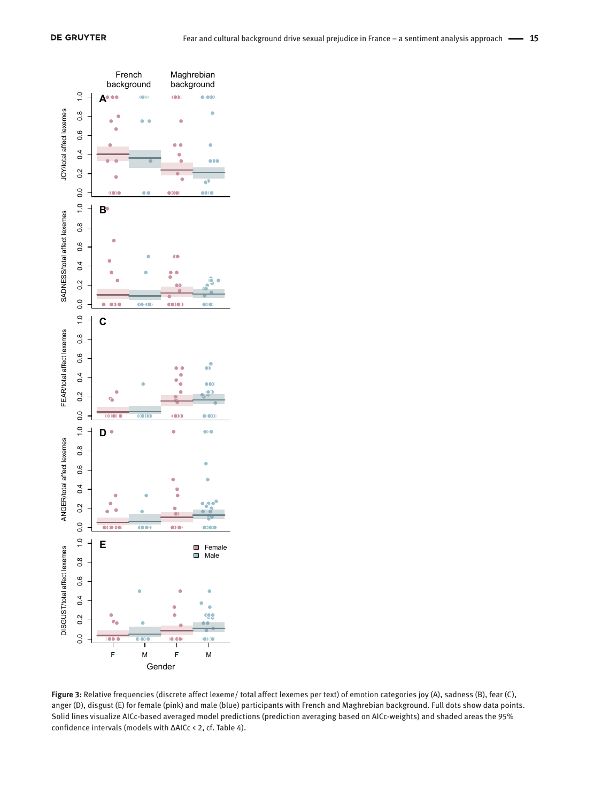

**Figure 3:** Relative frequencies (discrete affect lexeme/ total affect lexemes per text) of emotion categories joy (A), sadness (B), fear (C), anger (D), disgust (E) for female (pink) and male (blue) participants with French and Maghrebian background. Full dots show data points. Solid lines visualize AICc-based averaged model predictions (prediction averaging based on AICc-weights) and shaded areas the 95% confidence intervals (models with ΔAICc < 2, cf. Table 4).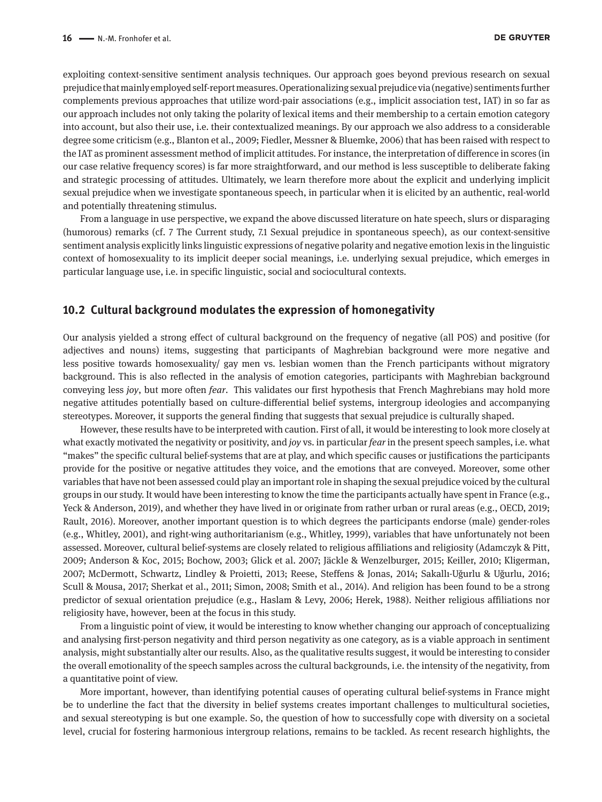exploiting context-sensitive sentiment analysis techniques. Our approach goes beyond previous research on sexual prejudice that mainly employed self-report measures. Operationalizing sexual prejudice via (negative) sentiments further complements previous approaches that utilize word-pair associations (e.g., implicit association test, IAT) in so far as our approach includes not only taking the polarity of lexical items and their membership to a certain emotion category into account, but also their use, i.e. their contextualized meanings. By our approach we also address to a considerable degree some criticism (e.g., Blanton et al., 2009; Fiedler, Messner & Bluemke, 2006) that has been raised with respect to the IAT as prominent assessment method of implicit attitudes. For instance, the interpretation of difference in scores (in our case relative frequency scores) is far more straightforward, and our method is less susceptible to deliberate faking and strategic processing of attitudes. Ultimately, we learn therefore more about the explicit and underlying implicit sexual prejudice when we investigate spontaneous speech, in particular when it is elicited by an authentic, real-world and potentially threatening stimulus.

From a language in use perspective, we expand the above discussed literature on hate speech, slurs or disparaging (humorous) remarks (cf. 7 The Current study, 7.1 Sexual prejudice in spontaneous speech), as our context-sensitive sentiment analysis explicitly links linguistic expressions of negative polarity and negative emotion lexis in the linguistic context of homosexuality to its implicit deeper social meanings, i.e. underlying sexual prejudice, which emerges in particular language use, i.e. in specific linguistic, social and sociocultural contexts.

### **10.2 Cultural background modulates the expression of homonegativity**

Our analysis yielded a strong effect of cultural background on the frequency of negative (all POS) and positive (for adjectives and nouns) items, suggesting that participants of Maghrebian background were more negative and less positive towards homosexuality/ gay men vs. lesbian women than the French participants without migratory background. This is also reflected in the analysis of emotion categories, participants with Maghrebian background conveying less *joy*, but more often *fear*. This validates our first hypothesis that French Maghrebians may hold more negative attitudes potentially based on culture-differential belief systems, intergroup ideologies and accompanying stereotypes. Moreover, it supports the general finding that suggests that sexual prejudice is culturally shaped.

However, these results have to be interpreted with caution. First of all, it would be interesting to look more closely at what exactly motivated the negativity or positivity, and *joy* vs. in particular *fear* in the present speech samples, i.e. what "makes" the specific cultural belief-systems that are at play, and which specific causes or justifications the participants provide for the positive or negative attitudes they voice, and the emotions that are conveyed. Moreover, some other variables that have not been assessed could play an important role in shaping the sexual prejudice voiced by the cultural groups in our study. It would have been interesting to know the time the participants actually have spent in France (e.g., Yeck & Anderson, 2019), and whether they have lived in or originate from rather urban or rural areas (e.g., OECD, 2019; Rault, 2016). Moreover, another important question is to which degrees the participants endorse (male) gender-roles (e.g., Whitley, 2001), and right-wing authoritarianism (e.g., Whitley, 1999), variables that have unfortunately not been assessed. Moreover, cultural belief-systems are closely related to religious affiliations and religiosity (Adamczyk & Pitt, 2009; Anderson & Koc, 2015; Bochow, 2003; Glick et al. 2007; Jäckle & Wenzelburger, 2015; Keiller, 2010; Kligerman, 2007; McDermott, Schwartz, Lindley & Proietti, 2013; Reese, Steffens & Jonas, 2014; Sakallı-Uğurlu & Uğurlu, 2016; Scull & Mousa, 2017; Sherkat et al., 2011; Simon, 2008; Smith et al., 2014). And religion has been found to be a strong predictor of sexual orientation prejudice (e.g., Haslam & Levy, 2006; Herek, 1988). Neither religious affiliations nor religiosity have, however, been at the focus in this study.

From a linguistic point of view, it would be interesting to know whether changing our approach of conceptualizing and analysing first-person negativity and third person negativity as one category, as is a viable approach in sentiment analysis, might substantially alter our results. Also, as the qualitative results suggest, it would be interesting to consider the overall emotionality of the speech samples across the cultural backgrounds, i.e. the intensity of the negativity, from a quantitative point of view.

More important, however, than identifying potential causes of operating cultural belief-systems in France might be to underline the fact that the diversity in belief systems creates important challenges to multicultural societies, and sexual stereotyping is but one example. So, the question of how to successfully cope with diversity on a societal level, crucial for fostering harmonious intergroup relations, remains to be tackled. As recent research highlights, the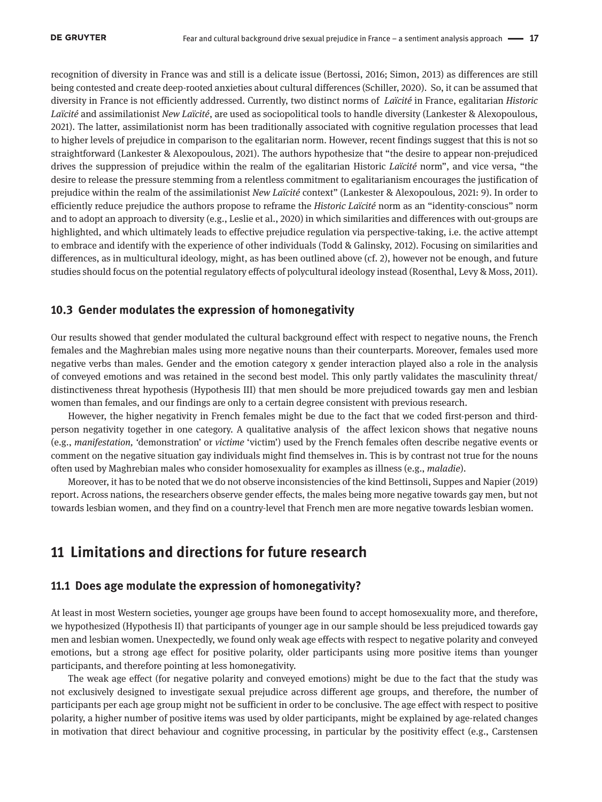recognition of diversity in France was and still is a delicate issue (Bertossi, 2016; Simon, 2013) as differences are still being contested and create deep-rooted anxieties about cultural differences (Schiller, 2020). So, it can be assumed that diversity in France is not efficiently addressed. Currently, two distinct norms of *Laïcité* in France, egalitarian *Historic Laïcité* and assimilationist *New Laïcité*, are used as sociopolitical tools to handle diversity (Lankester & Alexopoulous, 2021). The latter, assimilationist norm has been traditionally associated with cognitive regulation processes that lead to higher levels of prejudice in comparison to the egalitarian norm. However, recent findings suggest that this is not so straightforward (Lankester & Alexopoulous, 2021). The authors hypothesize that "the desire to appear non-prejudiced drives the suppression of prejudice within the realm of the egalitarian Historic *Laïcité* norm", and vice versa, "the desire to release the pressure stemming from a relentless commitment to egalitarianism encourages the justification of prejudice within the realm of the assimilationist *New Laïcité* context" (Lankester & Alexopoulous, 2021: 9). In order to efficiently reduce prejudice the authors propose to reframe the *Historic Laïcité* norm as an "identity-conscious" norm and to adopt an approach to diversity (e.g., Leslie et al., 2020) in which similarities and differences with out-groups are highlighted, and which ultimately leads to effective prejudice regulation via perspective-taking, i.e. the active attempt to embrace and identify with the experience of other individuals (Todd & Galinsky, 2012). Focusing on similarities and differences, as in multicultural ideology, might, as has been outlined above (cf. 2), however not be enough, and future studies should focus on the potential regulatory effects of polycultural ideology instead (Rosenthal, Levy & Moss, 2011).

### **10.3 Gender modulates the expression of homonegativity**

Our results showed that gender modulated the cultural background effect with respect to negative nouns, the French females and the Maghrebian males using more negative nouns than their counterparts. Moreover, females used more negative verbs than males. Gender and the emotion category x gender interaction played also a role in the analysis of conveyed emotions and was retained in the second best model. This only partly validates the masculinity threat/ distinctiveness threat hypothesis (Hypothesis III) that men should be more prejudiced towards gay men and lesbian women than females, and our findings are only to a certain degree consistent with previous research.

However, the higher negativity in French females might be due to the fact that we coded first-person and thirdperson negativity together in one category. A qualitative analysis of the affect lexicon shows that negative nouns (e.g., *manifestation, '*demonstration' or *victime* 'victim') used by the French females often describe negative events or comment on the negative situation gay individuals might find themselves in. This is by contrast not true for the nouns often used by Maghrebian males who consider homosexuality for examples as illness (e.g., *maladie*).

Moreover, it has to be noted that we do not observe inconsistencies of the kind Bettinsoli, Suppes and Napier (2019) report. Across nations, the researchers observe gender effects, the males being more negative towards gay men, but not towards lesbian women, and they find on a country-level that French men are more negative towards lesbian women.

### **11 Limitations and directions for future research**

### **11.1 Does age modulate the expression of homonegativity?**

At least in most Western societies, younger age groups have been found to accept homosexuality more, and therefore, we hypothesized (Hypothesis II) that participants of younger age in our sample should be less prejudiced towards gay men and lesbian women. Unexpectedly, we found only weak age effects with respect to negative polarity and conveyed emotions, but a strong age effect for positive polarity, older participants using more positive items than younger participants, and therefore pointing at less homonegativity.

The weak age effect (for negative polarity and conveyed emotions) might be due to the fact that the study was not exclusively designed to investigate sexual prejudice across different age groups, and therefore, the number of participants per each age group might not be sufficient in order to be conclusive. The age effect with respect to positive polarity, a higher number of positive items was used by older participants, might be explained by age-related changes in motivation that direct behaviour and cognitive processing, in particular by the positivity effect (e.g., Carstensen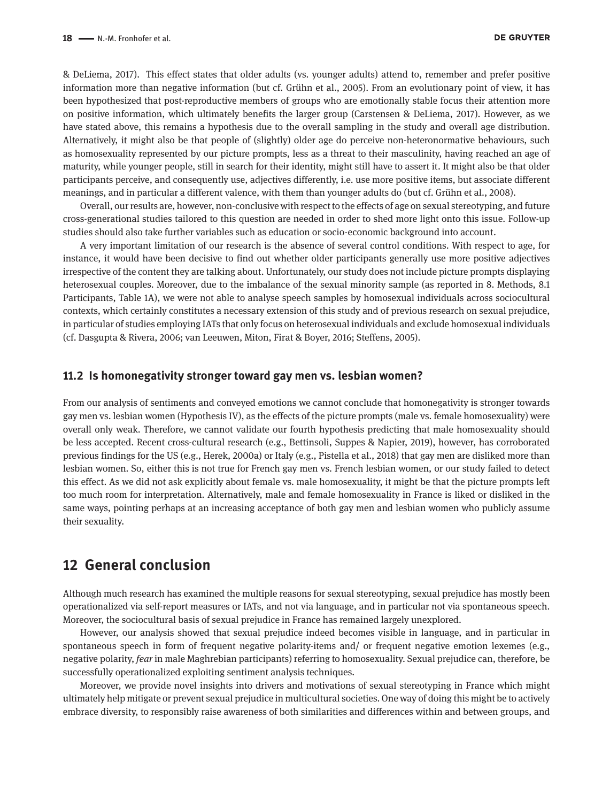& DeLiema, 2017). This effect states that older adults (vs. younger adults) attend to, remember and prefer positive information more than negative information (but cf. Grühn et al., 2005). From an evolutionary point of view, it has been hypothesized that post-reproductive members of groups who are emotionally stable focus their attention more on positive information, which ultimately benefits the larger group (Carstensen & DeLiema, 2017). However, as we have stated above, this remains a hypothesis due to the overall sampling in the study and overall age distribution. Alternatively, it might also be that people of (slightly) older age do perceive non-heteronormative behaviours, such as homosexuality represented by our picture prompts, less as a threat to their masculinity, having reached an age of maturity, while younger people, still in search for their identity, might still have to assert it. It might also be that older participants perceive, and consequently use, adjectives differently, i.e. use more positive items, but associate different meanings, and in particular a different valence, with them than younger adults do (but cf. Grühn et al., 2008).

Overall, our results are, however, non-conclusive with respect to the effects of age on sexual stereotyping, and future cross-generational studies tailored to this question are needed in order to shed more light onto this issue. Follow-up studies should also take further variables such as education or socio-economic background into account.

A very important limitation of our research is the absence of several control conditions. With respect to age, for instance, it would have been decisive to find out whether older participants generally use more positive adjectives irrespective of the content they are talking about. Unfortunately, our study does not include picture prompts displaying heterosexual couples. Moreover, due to the imbalance of the sexual minority sample (as reported in 8. Methods, 8.1 Participants, Table 1A), we were not able to analyse speech samples by homosexual individuals across sociocultural contexts, which certainly constitutes a necessary extension of this study and of previous research on sexual prejudice, in particular of studies employing IATs that only focus on heterosexual individuals and exclude homosexual individuals (cf. Dasgupta & Rivera, 2006; van Leeuwen, Miton, Firat & Boyer, 2016; Steffens, 2005).

#### **11.2 Is homonegativity stronger toward gay men vs. lesbian women?**

From our analysis of sentiments and conveyed emotions we cannot conclude that homonegativity is stronger towards gay men vs. lesbian women (Hypothesis IV), as the effects of the picture prompts (male vs. female homosexuality) were overall only weak. Therefore, we cannot validate our fourth hypothesis predicting that male homosexuality should be less accepted. Recent cross-cultural research (e.g., Bettinsoli, Suppes & Napier, 2019), however, has corroborated previous findings for the US (e.g., Herek, 2000a) or Italy (e.g., Pistella et al., 2018) that gay men are disliked more than lesbian women. So, either this is not true for French gay men vs. French lesbian women, or our study failed to detect this effect. As we did not ask explicitly about female vs. male homosexuality, it might be that the picture prompts left too much room for interpretation. Alternatively, male and female homosexuality in France is liked or disliked in the same ways, pointing perhaps at an increasing acceptance of both gay men and lesbian women who publicly assume their sexuality.

### **12 General conclusion**

Although much research has examined the multiple reasons for sexual stereotyping, sexual prejudice has mostly been operationalized via self-report measures or IATs, and not via language, and in particular not via spontaneous speech. Moreover, the sociocultural basis of sexual prejudice in France has remained largely unexplored.

However, our analysis showed that sexual prejudice indeed becomes visible in language, and in particular in spontaneous speech in form of frequent negative polarity-items and/ or frequent negative emotion lexemes (e.g., negative polarity, *fear* in male Maghrebian participants) referring to homosexuality. Sexual prejudice can, therefore, be successfully operationalized exploiting sentiment analysis techniques.

Moreover, we provide novel insights into drivers and motivations of sexual stereotyping in France which might ultimately help mitigate or prevent sexual prejudice in multicultural societies. One way of doing this might be to actively embrace diversity, to responsibly raise awareness of both similarities and differences within and between groups, and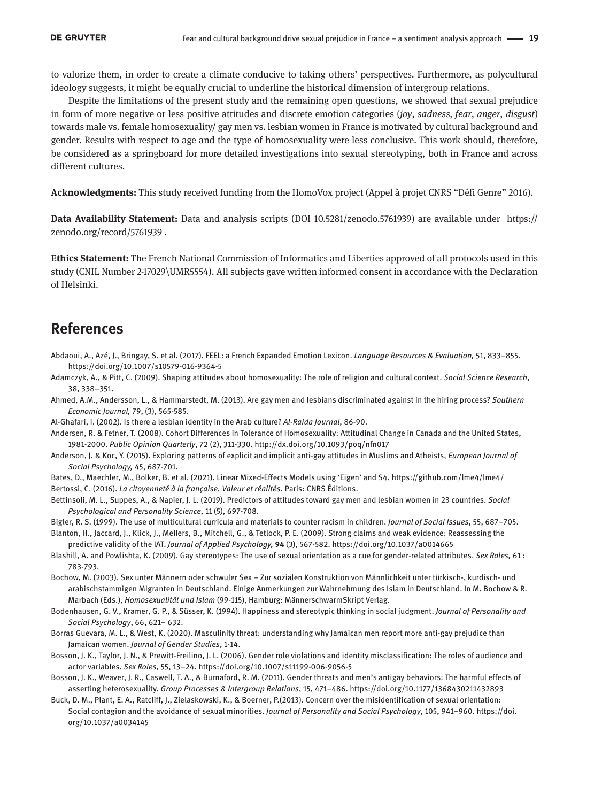to valorize them, in order to create a climate conducive to taking others' perspectives. Furthermore, as polycultural ideology suggests, it might be equally crucial to underline the historical dimension of intergroup relations.

Despite the limitations of the present study and the remaining open questions, we showed that sexual prejudice in form of more negative or less positive attitudes and discrete emotion categories (*joy*, *sadness, fear*, *anger*, *disgust*) towards male vs. female homosexuality/ gay men vs. lesbian women in France is motivated by cultural background and gender. Results with respect to age and the type of homosexuality were less conclusive. This work should, therefore, be considered as a springboard for more detailed investigations into sexual stereotyping, both in France and across different cultures.

**Acknowledgments:** This study received funding from the HomoVox project (Appel à projet CNRS "Défi Genre" 2016).

**Data Availability Statement:** Data and analysis scripts (DOI 10.5281/zenodo.5761939) are available under [https://](https://zenodo.org/record/5761939) [zenodo.org/record/5761939](https://zenodo.org/record/5761939) .

**Ethics Statement:** The French National Commission of Informatics and Liberties approved of all protocols used in this study (CNIL Number 2-17029\UMR5554). All subjects gave written informed consent in accordance with the Declaration of Helsinki.

### **References**

- Abdaoui, A., Azé, J., Bringay, S. et al. (2017). FEEL: a French Expanded Emotion Lexicon. *Language Resources & Evaluation,* 51, 833–855. <https://doi.org/10.1007/s10579-016-9364-5>
- Adamczyk, A., & Pitt, C. (2009). Shaping attitudes about homosexuality: The role of religion and cultural context. *Social Science Research*, 38, 338–351.
- Ahmed, A.M., Andersson, L., & Hammarstedt, M. (2013). Are gay men and lesbians discriminated against in the hiring process? *Southern Economic Journal,* 79, (3), 565-585.
- Al-Ghafari, I. (2002). Is there a lesbian identity in the Arab culture? *Al-Raida Journal*, 86-90.
- Andersen, R. & Fetner, T. (2008). Cohort Differences in Tolerance of Homosexuality: Attitudinal Change in Canada and the United States, 1981-2000. *Public Opinion Quarterly*, 72 (2), 311-330.<http://dx.doi.org/10.1093/poq/nfn017>
- Anderson, J. & Koc, Y. (2015). Exploring patterns of explicit and implicit anti-gay attitudes in Muslims and Atheists, *European Journal of Social Psychology,* 45, 687-701.
- Bates, D., Maechler, M., Bolker, B. et al. (2021). Linear Mixed-Effects Models using 'Eigen' and S4. <https://github.com/lme4/lme4/> Bertossi, C. (2016). *La citoyenneté à la française. Valeur et réalités.* Paris: CNRS Éditions.
- Bettinsoli, M. L., Suppes, A., & Napier, J. L. (2019). Predictors of attitudes toward gay men and lesbian women in 23 countries. *Social Psychological and Personality Science*, 11 (5), 697-708.
- Bigler, R. S. (1999). The use of multicultural curricula and materials to counter racism in children. *Journal of Social Issues*, 55, 687–705.
- Blanton, H., Jaccard, J., Klick, J., Mellers, B., Mitchell, G., & Tetlock, P. E. (2009). Strong claims and weak evidence: Reassessing the predictive validity of the IAT. *Journal of Applied Psychology,* **94** (3), 567-582. <https://doi.org/10.1037/a0014665>
- Blashill, A. and Powlishta, K. (2009). Gay stereotypes: The use of sexual orientation as a cue for gender-related attributes. *Sex Roles,* 61 : 783-793.
- Bochow, M. (2003). Sex unter Männern oder schwuler Sex Zur sozialen Konstruktion von Männlichkeit unter türkisch-, kurdisch- und arabischstammigen Migranten in Deutschland. Einige Anmerkungen zur Wahrnehmung des Islam in Deutschland. In M. Bochow & R. Marbach (Eds.), *Homosexualität und Islam* (99-115), Hamburg: MännerschwarmSkript Verlag.
- Bodenhausen, G. V., Kramer, G. P., & Süsser, K. (1994). Happiness and stereotypic thinking in social judgment. *Journal of Personality and Social Psychology*, 66, 621– 632.
- Borras Guevara, M. L., & West, K. (2020). Masculinity threat: understanding why Jamaican men report more anti-gay prejudice than Jamaican women. *Journal of Gender Studies*, 1-14.
- Bosson, J. K., Taylor, J. N., & Prewitt-Freilino, J. L. (2006). Gender role violations and identity misclassification: The roles of audience and actor variables. *Sex Roles*, 55, 13–24. https://doi.org/10.1007/s11199-006-9056-5
- Bosson, J. K., Weaver, J. R., Caswell, T. A., & Burnaford, R. M. (2011). Gender threats and men's antigay behaviors: The harmful effects of asserting heterosexuality. *Group Processes & Intergroup Relations*, 15, 471–486.<https://doi.org/10.1177/1368430211432893>
- Buck, D. M., Plant, E. A., Ratcliff, J., Zielaskowski, K., & Boerner, P.(2013). Concern over the misidentification of sexual orientation: Social contagion and the avoidance of sexual minorities. *Journal of Personality and Social Psychology*, 105, 941–960. [https://doi.](https://doi.org/10.1037/a0034145) [org/10.1037/a0034145](https://doi.org/10.1037/a0034145)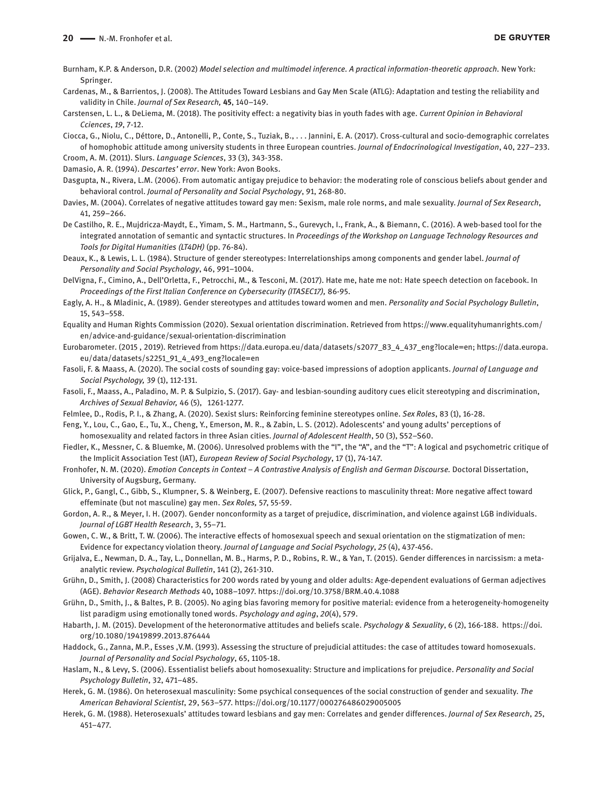Burnham, K.P. & Anderson, D.R. (2002) *Model selection and multimodel inference. A practical information-theoretic approach.* New York: Springer.

- Cardenas, M., & Barrientos, J. (2008). The Attitudes Toward Lesbians and Gay Men Scale (ATLG): Adaptation and testing the reliability and validity in Chile. *Journal of Sex Research,* **45**, 140–149.
- Carstensen, L. L., & DeLiema, M. (2018). The positivity effect: a negativity bias in youth fades with age. *Current Opinion in Behavioral Cciences*, *19*, 7-12.

Ciocca, G., Niolu, C., Déttore, D., Antonelli, P., Conte, S., Tuziak, B., . . . Jannini, E. A. (2017). Cross-cultural and socio-demographic correlates of homophobic attitude among university students in three European countries. *Journal of Endocrinological Investigation*, 40, 227–233. Croom, A. M. (2011). Slurs. *Language Sciences*, 33 (3), 343-358.

Damasio, A. R. (1994). *Descartes' error*. New York: Avon Books.

- Dasgupta, N., Rivera, L.M. (2006). From automatic antigay prejudice to behavior: the moderating role of conscious beliefs about gender and behavioral control. *Journal of Personality and Social Psychology*, 91, 268-80.
- Davies, M. (2004). Correlates of negative attitudes toward gay men: Sexism, male role norms, and male sexuality. *Journal of Sex Research*, 41, 259–266.

De Castilho, R. E., Mujdricza-Maydt, E., Yimam, S. M., Hartmann, S., Gurevych, I., Frank, A., & Biemann, C. (2016). A web-based tool for the integrated annotation of semantic and syntactic structures. In *Proceedings of the Workshop on Language Technology Resources and Tools for Digital Humanities (LT4DH)* (pp. 76-84).

Deaux, K., & Lewis, L. L. (1984). Structure of gender stereotypes: Interrelationships among components and gender label. *Journal of Personality and Social Psychology*, 46, 991–1004.

DelVigna, F., Cimino, A., Dell'Orletta, F., Petrocchi, M., & Tesconi, M. (2017). Hate me, hate me not: Hate speech detection on facebook. In *Proceedings of the First Italian Conference on Cybersecurity (ITASEC17),* 86-95.

Eagly, A. H., & Mladinic, A. (1989). Gender stereotypes and attitudes toward women and men. *Personality and Social Psychology Bulletin*, 15, 543–558.

Equality and Human Rights Commission (2020). Sexual orientation discrimination. Retrieved from [https://www.equalityhumanrights.com/](https://www.equalityhumanrights.com/en/advice-and-guidance/sexual-orientation-discrimination) [en/advice-and-guidance/sexual-orientation-discrimination](https://www.equalityhumanrights.com/en/advice-and-guidance/sexual-orientation-discrimination)

- Eurobarometer. (2015 , 2019). Retrieved from https://data.europa.eu/data/datasets/s2077\_83\_4\_437\_eng?locale=en; [https://data.europa.](https://data.europa.eu/data/datasets/s2251_91_4_493_eng?locale=en) [eu/data/datasets/s2251\\_91\\_4\\_493\\_eng?locale=e](https://data.europa.eu/data/datasets/s2251_91_4_493_eng?locale=en)n
- Fasoli, F. & Maass, A. (2020). The social costs of sounding gay: voice-based impressions of adoption applicants. *Journal of Language and Social Psychology,* 39 (1), 112-131.
- Fasoli, F., Maass, A., Paladino, M. P. & Sulpizio, S. (2017). Gay- and lesbian-sounding auditory cues elicit stereotyping and discrimination, *Archives of Sexual Behavior,* 46 (5), 1261-1277.
- Felmlee, D., Rodis, P. I., & Zhang, A. (2020). Sexist slurs: Reinforcing feminine stereotypes online. *Sex Roles*, 83 (1), 16-28.
- Feng, Y., Lou, C., Gao, E., Tu, X., Cheng, Y., Emerson, M. R., & Zabin, L. S. (2012). Adolescents' and young adults' perceptions of homosexuality and related factors in three Asian cities. *Journal of Adolescent Health*, 50 (3), S52–S60.
- Fiedler, K., Messner, C. & Bluemke, M. (2006). Unresolved problems with the "I", the "A", and the "T": A logical and psychometric critique of the Implicit Association Test (IAT), *European Review of Social Psychology*, 17 (1), 74-147.
- Fronhofer, N. M. (2020). *Emotion Concepts in Context A Contrastive Analysis of English and German Discourse.* Doctoral Dissertation, University of Augsburg, Germany.
- Glick, P., Gangl, C., Gibb, S., Klumpner, S. & Weinberg, E. (2007). Defensive reactions to masculinity threat: More negative affect toward effeminate (but not masculine) gay men. *Sex Roles,* 57, 55-59.
- Gordon, A. R., & Meyer, I. H. (2007). Gender nonconformity as a target of prejudice, discrimination, and violence against LGB individuals. *Journal of LGBT Health Research*, 3, 55–71.

Gowen, C. W., & Britt, T. W. (2006). The interactive effects of homosexual speech and sexual orientation on the stigmatization of men: Evidence for expectancy violation theory. *Journal of Language and Social Psychology*, *25* (4), 437-456.

- Grijalva, E., Newman, D. A., Tay, L., Donnellan, M. B., Harms, P. D., Robins, R. W., & Yan, T. (2015). Gender differences in narcissism: a metaanalytic review. *Psychological Bulletin*, 141 (2), 261-310.
- Grühn, D., Smith, J. (2008) Characteristics for 200 words rated by young and older adults: Age-dependent evaluations of German adjectives (AGE). *Behavior Research Methods* 40**,** 1088–1097.<https://doi.org/10.3758/BRM.40.4.1088>
- Grühn, D., Smith, J., & Baltes, P. B. (2005). No aging bias favoring memory for positive material: evidence from a heterogeneity-homogeneity list paradigm using emotionally toned words. *Psychology and aging*, *20*(4), 579.
- Habarth, J. M. (2015). Development of the heteronormative attitudes and beliefs scale. *Psychology & Sexuality*, 6 (2), 166-188. https://doi. org/10.1080/19419899.2013.876444
- Haddock, G., Zanna, M.P., Esses ,V.M. (1993). Assessing the structure of prejudicial attitudes: the case of attitudes toward homosexuals. *Journal of Personality and Social Psychology*, 65, 1105-18.
- Haslam, N., & Levy, S. (2006). Essentialist beliefs about homosexuality: Structure and implications for prejudice. *Personality and Social Psychology Bulletin*, 32, 471–485.
- Herek, G. M. (1986). On heterosexual masculinity: Some psychical consequences of the social construction of gender and sexuality. *The American Behavioral Scientist*, 29, 563–577.<https://doi.org/10.1177/000276486029005005>
- Herek, G. M. (1988). Heterosexuals' attitudes toward lesbians and gay men: Correlates and gender differences. *Journal of Sex Research*, 25, 451–477.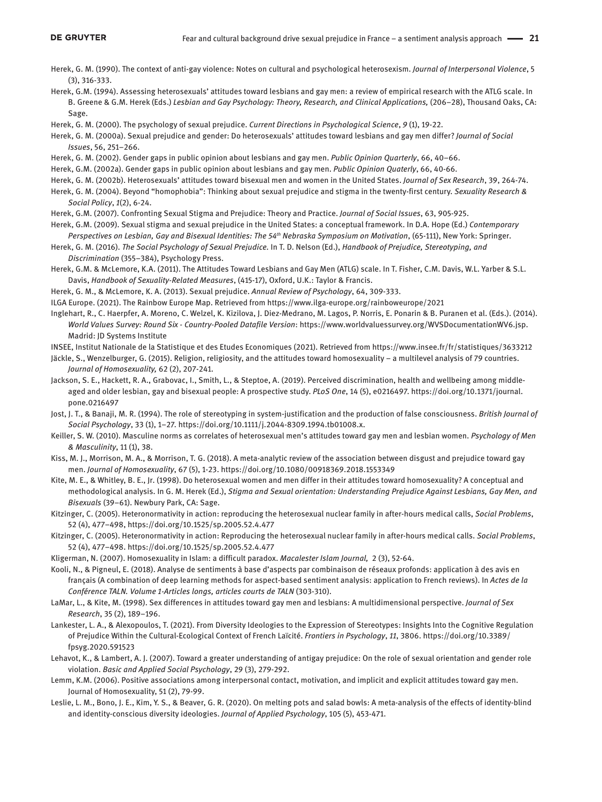- Herek, G. M. (1990). The context of anti-gay violence: Notes on cultural and psychological heterosexism. *Journal of Interpersonal Violence*, 5 (3), 316-333.
- Herek, G.M. (1994). Assessing heterosexuals' attitudes toward lesbians and gay men: a review of empirical research with the ATLG scale. In B. Greene & G.M. Herek (Eds.) *Lesbian and Gay Psychology: Theory, Research, and Clinical Applications,* (206–28), Thousand Oaks, CA: Sage.
- Herek, G. M. (2000). The psychology of sexual prejudice. *Current Directions in Psychological Science*, *9* (1), 19-22.
- Herek, G. M. (2000a). Sexual prejudice and gender: Do heterosexuals' attitudes toward lesbians and gay men differ? *Journal of Social Issues*, 56, 251–266.
- Herek, G. M. (2002). Gender gaps in public opinion about lesbians and gay men. *Public Opinion Quarterly*, 66, 40–66.
- Herek, G.M. (2002a). Gender gaps in public opinion about lesbians and gay men. *Public Opinion Quaterly*, 66, 40-66.
- Herek, G. M. (2002b). Heterosexuals' attitudes toward bisexual men and women in the United States. *Journal of Sex Research*, 39, 264-74.
- Herek, G. M. (2004). Beyond "homophobia": Thinking about sexual prejudice and stigma in the twenty-first century. *Sexuality Research & Social Policy*, *1*(2), 6-24.
- Herek, G.M. (2007). Confronting Sexual Stigma and Prejudice: Theory and Practice. *Journal of Social Issues*, 63, 905-925.
- Herek, G.M. (2009). Sexual stigma and sexual prejudice in the United States: a conceptual framework. In D.A. Hope (Ed.) *Contemporary Perspectives on Lesbian, Gay and Bisexual Identities: The 54<sup>th</sup> Nebraska Symposium on Motivation, (65-111), New York: Springer.*
- Herek, G. M. (2016). *The Social Psychology of Sexual Prejudice.* In T. D. Nelson (Ed.), *Handbook of Prejudice, Stereotyping, and Discrimination* (355–384), Psychology Press.
- Herek, G.M. & McLemore, K.A. (2011). The Attitudes Toward Lesbians and Gay Men (ATLG) scale. In T. Fisher, C.M. Davis, W.L. Yarber & S.L. Davis, *Handbook of Sexuality-Related Measures*, (415-17), Oxford, U.K.: Taylor & Francis.
- Herek, G. M., & McLemore, K. A. (2013). Sexual prejudice. *Annual Review of Psychology*, 64, 309-333.
- ILGA Europe. (2021). The Rainbow Europe Map. Retrieved from https://www.ilga-europe.org/rainboweurope/2021
- Inglehart, R., C. Haerpfer, A. Moreno, C. Welzel, K. Kizilova, J. Diez-Medrano, M. Lagos, P. Norris, E. Ponarin & B. Puranen et al. (Eds.). (2014). *World Values Survey: Round Six - Country-Pooled Datafile Version*: <https://www.worldvaluessurvey.org/WVSDocumentationWV6.jsp>. Madrid: JD Systems Institute
- INSEE, Institut Nationale de la Statistique et des Etudes Economiques (2021). Retrieved from https://www.insee.fr/fr/statistiques/3633212

Jäckle, S., Wenzelburger, G. (2015). Religion, religiosity, and the attitudes toward homosexuality – a multilevel analysis of 79 countries. *Journal of Homosexuality,* 62 (2), 207-241.

- Jackson, S. E., Hackett, R. A., Grabovac, I., Smith, L., & Steptoe, A. (2019). Perceived discrimination, health and wellbeing among middleaged and older lesbian, gay and bisexual people: A prospective study. *PLoS One*, 14 (5), e0216497. [https://doi.org/10.1371/journal.](https://doi.org/10.1371/journal.pone.0216497) [pone.0216497](https://doi.org/10.1371/journal.pone.0216497)
- Jost, J. T., & Banaji, M. R. (1994). The role of stereotyping in system-justification and the production of false consciousness. *British Journal of Social Psychology*, 33 (1), 1–27.<https://doi.org/10.1111/j.2044-8309.1994.tb01008.x>.
- Keiller, S. W. (2010). Masculine norms as correlates of heterosexual men's attitudes toward gay men and lesbian women. *Psychology of Men & Masculinity*, 11 (1), 38.
- Kiss, M. J., Morrison, M. A., & Morrison, T. G. (2018). A meta-analytic review of the association between disgust and prejudice toward gay men. *Journal of Homosexuality*, 67 (5), 1-23. <https://doi.org/10.1080/00918369.2018.1553349>
- Kite, M. E., & Whitley, B. E., Jr. (1998). Do heterosexual women and men differ in their attitudes toward homosexuality? A conceptual and methodological analysis. In G. M. Herek (Ed.), *Stigma and Sexual orientation: Understanding Prejudice Against Lesbians, Gay Men, and Bisexuals* (39–61). Newbury Park, CA: Sage.
- Kitzinger, C. (2005). Heteronormativity in action: reproducing the heterosexual nuclear family in after-hours medical calls, *Social Problems*, 52 (4), 477–498,<https://doi.org/10.1525/sp.2005.52.4.477>
- Kitzinger, C. (2005). Heteronormativity in action: Reproducing the heterosexual nuclear family in after-hours medical calls. *Social Problems*, 52 (4), 477–498. https://doi.org/10.1525/sp.2005.52.4.477
- Kligerman, N. (2007). Homosexuality in Islam: a difficult paradox. *Macalester Islam Journal,* 2 (3), 52-64.
- Kooli, N., & Pigneul, E. (2018). Analyse de sentiments à base d'aspects par combinaison de réseaux profonds: application à des avis en français (A combination of deep learning methods for aspect-based sentiment analysis: application to French reviews). In *Actes de la Conférence TALN. Volume 1-Articles longs, articles courts de TALN* (303-310).
- LaMar, L., & Kite, M. (1998). Sex differences in attitudes toward gay men and lesbians: A multidimensional perspective. *Journal of Sex Research*, 35 (2), 189–196.
- Lankester, L. A., & Alexopoulos, T. (2021). From Diversity Ideologies to the Expression of Stereotypes: Insights Into the Cognitive Regulation of Prejudice Within the Cultural-Ecological Context of French Laïcité. *Frontiers in Psychology*, *11*, 3806. [https://doi.org/10.3389/](https://doi.org/10.3389/fpsyg.2020.591523) [fpsyg.2020.591523](https://doi.org/10.3389/fpsyg.2020.591523)
- Lehavot, K., & Lambert, A. J. (2007). Toward a greater understanding of antigay prejudice: On the role of sexual orientation and gender role violation. *Basic and Applied Social Psychology*, 29 (3), 279-292.
- Lemm, K.M. (2006). Positive associations among interpersonal contact, motivation, and implicit and explicit attitudes toward gay men. Journal of Homosexuality, 51 (2), 79-99.
- Leslie, L. M., Bono, J. E., Kim, Y. S., & Beaver, G. R. (2020). On melting pots and salad bowls: A meta-analysis of the effects of identity-blind and identity-conscious diversity ideologies. *Journal of Applied Psychology*, 105 (5), 453-471.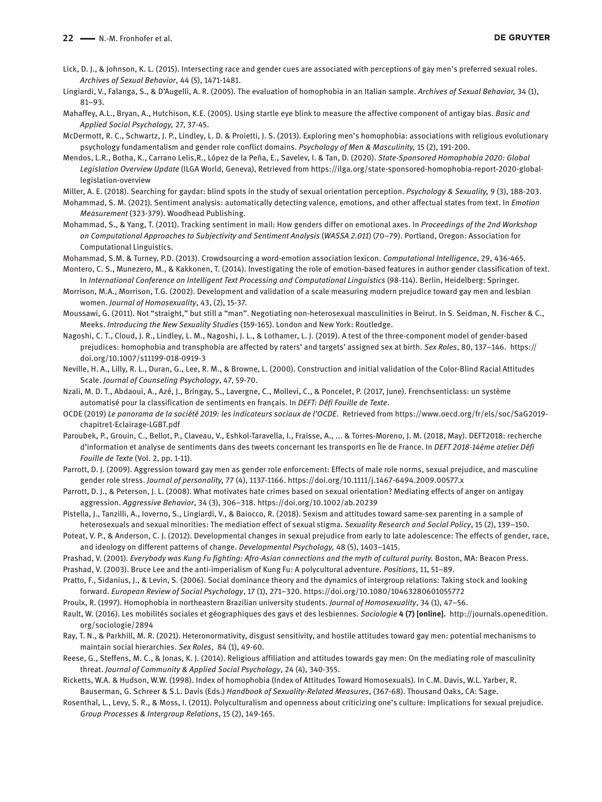- Lick, D. J., & Johnson, K. L. (2015). Intersecting race and gender cues are associated with perceptions of gay men's preferred sexual roles. *Archives of Sexual Behavior*, 44 (5), 1471-1481.
- Lingiardi, V., Falanga, S., & D'Augelli, A. R. (2005). The evaluation of homophobia in an Italian sample. *Archives of Sexual Behavior,* 34 (1), 81–93.
- Mahaffey, A.L., Bryan, A., Hutchison, K.E. (2005). Using startle eye blink to measure the affective component of antigay bias. *Basic and Applied Social Psychology,* 27, 37-45.
- McDermott, R. C., Schwartz, J. P., Lindley, L. D. & Proietti, J. S. (2013). Exploring men's homophobia: associations with religious evolutionary psychology fundamentalism and gender role conflict domains. *Psychology of Men & Masculinity,* 15 (2), 191-200.
- Mendos, L.R., Botha, K., Carrano Lelis,R., López de la Peña, E., Savelev, I. & Tan, D. (2020). *State-Sponsored Homophobia 2020: Global Legislation Overview Update* (ILGA World, Geneva), Retrieved from https://ilga.org/state-sponsored-homophobia-report-2020-globallegislation-overview
- Miller, A. E. (2018). Searching for gaydar: blind spots in the study of sexual orientation perception. *Psychology & Sexuality,* 9 (3), 188-203.
- Mohammad, S. M. (2021). Sentiment analysis: automatically detecting valence, emotions, and other affectual states from text. In *Emotion Measurement* (323-379). Woodhead Publishing.
- Mohammad, S., & Yang, T. (2011). Tracking sentiment in mail: How genders differ on emotional axes. In *Proceedings of the 2nd Workshop on Computational Approaches to Subjectivity and Sentiment Analysis* (*WASSA 2.011*) (70–79). Portland, Oregon: Association for Computational Linguistics.
- Mohammad, S.M. & Turney, P.D. (2013). Crowdsourcing a word-emotion association lexicon. *Computational Intelligence*, 29, 436-465.
- Montero, C. S., Munezero, M., & Kakkonen, T. (2014). Investigating the role of emotion-based features in author gender classification of text. In *International Conference on Intelligent Text Processing and Computational Linguistics* (98-114). Berlin, Heidelberg: Springer.
- Morrison, M.A., Morrison, T.G. (2002). Development and validation of a scale measuring modern prejudice toward gay men and lesbian women. *Journal of Homosexuality*, 43, (2), 15-37.
- Moussawi, G. (2011). Not "straight," but still a "man". Negotiating non-heterosexual masculinities in Beirut. In S. Seidman, N. Fischer & C., Meeks. *Introducing the New Sexuality Studies* (159-165). London and New York: Routledge.
- Nagoshi, C. T., Cloud, J. R., Lindley, L. M., Nagoshi, J. L., & Lothamer, L. J. (2019). A test of the three-component model of gender-based prejudices: homophobia and transphobia are affected by raters' and targets' assigned sex at birth. *Sex Roles*, 80, 137–146. [https://](https://doi.org/10.1007/s11199-018-0919-3) [doi.org/10.1007/s11199-018-0919-3](https://doi.org/10.1007/s11199-018-0919-3)
- Neville, H. A., Lilly, R. L., Duran, G., Lee, R. M., & Browne, L. (2000). Construction and initial validation of the Color-Blind Racial Attitudes Scale. *Journal of Counseling Psychology*, 47, 59-70.
- Nzali, M. D. T., Abdaoui, A., Azé, J., Bringay, S., Lavergne, C., Mollevi, C., & Poncelet, P. (2017, June). Frenchsenticlass: un système automatisé pour la classification de sentiments en français. In *DEFT: Défi Fouille de Texte*.
- OCDE (2019) *Le panorama de la société 2019: les indicateurs sociaux de l'OCDE*. Retrieved from https://www.oecd.org/fr/els/soc/SaG2019 chapitre1-Eclairage-LGBT.pdf
- Paroubek, P., Grouin, C., Bellot, P., Claveau, V., Eshkol-Taravella, I., Fraisse, A., ... & Torres-Moreno, J. M. (2018, May). DEFT2018: recherche d'information et analyse de sentiments dans des tweets concernant les transports en Île de France. In *DEFT 2018-14ème atelier Défi Fouille de Texte* (Vol. 2, pp. 1-11).
- Parrott, D. J. (2009). Aggression toward gay men as gender role enforcement: Effects of male role norms, sexual prejudice, and masculine gender role stress. *Journal of personality,* 77 (4), 1137-1166. <https://doi.org/10.1111/j.1467-6494.2009.00577.x>
- Parrott, D. J., & Peterson, J. L. (2008). What motivates hate crimes based on sexual orientation? Mediating effects of anger on antigay aggression. *Aggressive Behavior*, 34 (3), 306–318. <https://doi.org/10.1002/ab.20239>
- Pistella, J., Tanzilli, A., Ioverno, S., Lingiardi, V., & Baiocco, R. (2018). Sexism and attitudes toward same-sex parenting in a sample of heterosexuals and sexual minorities: The mediation effect of sexual stigma. *Sexuality Research and Social Policy*, 15 (2), 139–150.
- Poteat, V. P., & Anderson, C. J. (2012). Developmental changes in sexual prejudice from early to late adolescence: The effects of gender, race, and ideology on different patterns of change. *Developmental Psychology,* 48 (5), 1403–1415.

Prashad, V. (2001). *Everybody was Kung Fu fighting: Afro-Asian connections and the myth of cultural purity.* Boston, MA: Beacon Press. Prashad, V. (2003). Bruce Lee and the anti-imperialism of Kung Fu: A polycultural adventure. *Positions*, 11, 51–89.

- Pratto, F., Sidanius, J., & Levin, S. (2006). Social dominance theory and the dynamics of intergroup relations: Taking stock and looking forward. *European Review of Social Psychology*, 17 (1), 271–320. <https://doi.org/10.1080/10463280601055772>
- Proulx, R. (1997). Homophobia in northeastern Brazilian university students. *Journal of Homosexuality*, 34 (1), 47–56.
- Rault, W. (2016). Les mobilités sociales et géographiques des gays et des lesbiennes. *Sociologie* **4 (7) [online].** [http://journals.openedition.](http://journals.openedition.org/sociologie/2894) [org/sociologie/2894](http://journals.openedition.org/sociologie/2894)
- Ray, T. N., & Parkhill, M. R. (2021). Heteronormativity, disgust sensitivity, and hostile attitudes toward gay men: potential mechanisms to maintain social hierarchies. *Sex Roles*, 84 (1), 49-60.
- Reese, G., Steffens, M. C., & Jonas, K. J. (2014). Religious affiliation and attitudes towards gay men: On the mediating role of masculinity threat. *Journal of Community & Applied Social Psychology*, 24 (4), 340-355.
- Ricketts, W.A. & Hudson, W.W. (1998). Index of homophobia (Index of Attitudes Toward Homosexuals). In C.M. Davis, W.L. Yarber, R. Bauserman, G. Schreer & S.L. Davis (Eds.) *Handbook of Sexuality-Related Measures*, (367-68). Thousand Oaks, CA: Sage.
- Rosenthal, L., Levy, S. R., & Moss, I. (2011). Polyculturalism and openness about criticizing one's culture: Implications for sexual prejudice. *Group Processes & Intergroup Relations*, 15 (2), 149-165.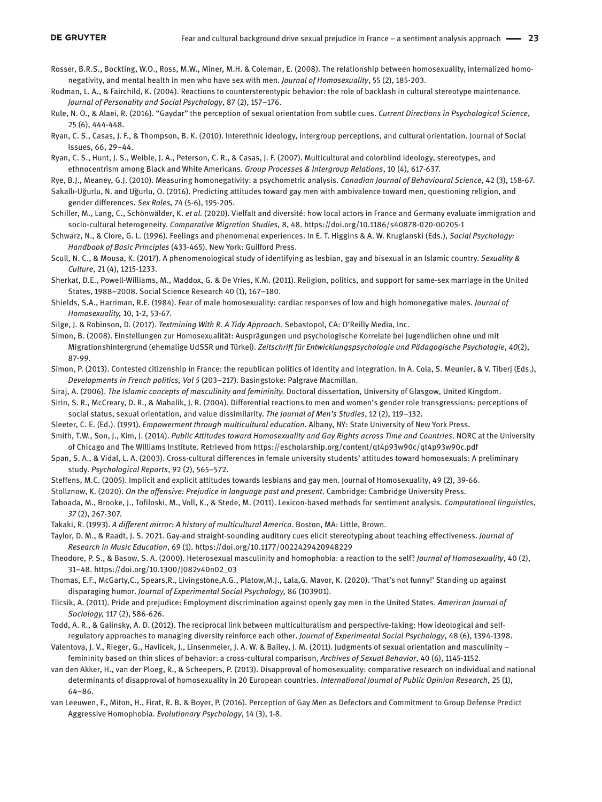- Rosser, B.R.S., Bockting, W.O., Ross, M.W., Miner, M.H. & Coleman, E. (2008). The relationship between homosexuality, internalized homonegativity, and mental health in men who have sex with men. *Journal of Homosexuality*, 55 (2), 185-203.
- Rudman, L. A., & Fairchild, K. (2004). Reactions to counterstereotypic behavior: the role of backlash in cultural stereotype maintenance. *Journal of Personality and Social Psychology*, 87 (2), 157–176.
- Rule, N. O., & Alaei, R. (2016). "Gaydar" the perception of sexual orientation from subtle cues. *Current Directions in Psychological Science*, 25 (6), 444-448.
- Ryan, C. S., Casas, J. F., & Thompson, B. K. (2010). Interethnic ideology, intergroup perceptions, and cultural orientation. Journal of Social Issues, 66, 29–44.

Ryan, C. S., Hunt, J. S., Weible, J. A., Peterson, C. R., & Casas, J. F. (2007). Multicultural and colorblind ideology, stereotypes, and ethnocentrism among Black and White Americans. *Group Processes & Intergroup Relations*, 10 (4), 617-637.

Rye, B.J., Meaney, G.J. (2010). Measuring homonegativity: a psychometric analysis. *Canadian Journal of Behavioural Science*, 42 (3), 158-67.

- Sakallı-Uğurlu, N. and Uğurlu, O. (2016). Predicting attitudes toward gay men with ambivalence toward men, questioning religion, and gender differences. *Sex Roles,* 74 (5-6), 195-205.
- Schiller, M., Lang, C., Schönwälder, K. *et al.* (2020). Vielfalt and diversité: how local actors in France and Germany evaluate immigration and socio-cultural heterogeneity. *Comparative Migration Studies,* 8, 48.<https://doi.org/10.1186/s40878-020-00205-1>
- Schwarz, N., & Clore, G. L. (1996). Feelings and phenomenal experiences. In E. T. Higgins & A. W. Kruglanski (Eds.), *Social Psychology: Handbook of Basic Principles* (433-465). New York: Guilford Press.
- Scull, N. C., & Mousa, K. (2017). A phenomenological study of identifying as lesbian, gay and bisexual in an Islamic country. *Sexuality & Culture*, 21 (4), 1215-1233.
- Sherkat, D.E., Powell-Williams, M., Maddox, G. & De Vries, K.M. (2011). Religion, politics, and support for same-sex marriage in the United States, 1988–2008. Social Science Research 40 (1), 167–180.
- Shields, S.A., Harriman, R.E. (1984). Fear of male homosexuality: cardiac responses of low and high homonegative males. *Journal of Homosexuality,* 10, 1-2, 53-67.
- Silge, J. & Robinson, D. (2017). *Textmining With R. A Tidy Approach*. Sebastopol, CA: O'Reilly Media, Inc.
- Simon, B. (2008). Einstellungen zur Homosexualität: Ausprägungen und psychologische Korrelate bei Jugendlichen ohne und mit Migrationshintergrund (ehemalige UdSSR und Türkei). *Zeitschrift für Entwicklungspsychologie und Pädagogische Psychologie*, *40*(2), 87-99.
- Simon, P. (2013). Contested citizenship in France: the republican politics of identity and integration. In A. Cola, S. Meunier, & V. Tiberj (Eds.), *Developments in French politics, Vol 5* (203–217). Basingstoke: Palgrave Macmillan.
- Siraj, A. (2006). *The Islamic concepts of masculinity and femininity.* Doctoral dissertation, University of Glasgow, United Kingdom.
- Sirin, S. R., McCreary, D. R., & Mahalik, J. R. (2004). Differential reactions to men and women's gender role transgressions: perceptions of social status, sexual orientation, and value dissimilarity. *The Journal of Men's Studies*, 12 (2), 119–132.
- Sleeter, C. E. (Ed.). (1991). *Empowerment through multicultural education*. Albany, NY: State University of New York Press.
- Smith, T.W., Son, J., Kim, J. (2014). *Public Attitudes toward Homosexuality and Gay Rights across Time and Countries*. NORC at the University of Chicago and The Williams Institute. Retrieved from <https://escholarship.org/content/qt4p93w90c/qt4p93w90c.pdf>
- Span, S. A., & Vidal, L. A. (2003). Cross-cultural differences in female university students' attitudes toward homosexuals: A preliminary study. *Psychological Reports*, 92 (2), 565–572.
- Steffens, M.C. (2005). Implicit and explicit attitudes towards lesbians and gay men. Journal of Homosexuality, 49 (2), 39-66.

Stollznow, K. (2020). *On the offensive: Prejudice in language past and present*. Cambridge: Cambridge University Press.

- Taboada, M., Brooke, J., Tofiloski, M., Voll, K., & Stede, M. (2011). Lexicon-based methods for sentiment analysis. *Computational linguistics*, *37* (2), 267-307.
- Takaki, R. (1993). *A different mirror: A history of multicultural America*. Boston, MA: Little, Brown.
- Taylor, D. M., & Raadt, J. S. 2021. Gay-and straight-sounding auditory cues elicit stereotyping about teaching effectiveness. *Journal of Research in Music Education*, 69 (1).<https://doi.org/10.1177/0022429420948229>
- Theodore, P. S., & Basow, S. A. (2000). Heterosexual masculinity and homophobia: a reaction to the self? *Journal of Homosexuality*, 40 (2), 31–48. https://doi.org/10.1300/J082v40n02\_03
- Thomas, E.F., McGarty,C., Spears,R., Livingstone,A.G., Platow,M.J., Lala,G. Mavor, K. (2020). 'That's not funny!' Standing up against disparaging humor. *Journal of Experimental Social Psychology,* 86 (103901).
- Tilcsik, A. (2011). Pride and prejudice: Employment discrimination against openly gay men in the United States. *American Journal of Sociology,* 117 (2), 586-626.
- Todd, A. R., & Galinsky, A. D. (2012). The reciprocal link between multiculturalism and perspective-taking: How ideological and selfregulatory approaches to managing diversity reinforce each other. *Journal of Experimental Social Psychology*, 48 (6), 1394-1398.
- Valentova, J. V., Rieger, G., Havlicek, J., Linsenmeier, J. A. W. & Bailey, J. M. (2011). Judgments of sexual orientation and masculinity femininity based on thin slices of behavior: a cross-cultural comparison, *Archives of Sexual Behavior*, 40 (6), 1145-1152.
- van den Akker, H., van der Ploeg, R., & Scheepers, P. (2013). Disapproval of homosexuality: comparative research on individual and national determinants of disapproval of homosexuality in 20 European countries. *International Journal of Public Opinion Research*, 25 (1), 64–86.
- van Leeuwen, F., Miton, H., Firat, R. B. & Boyer, P. (2016). Perception of Gay Men as Defectors and Commitment to Group Defense Predict Aggressive Homophobia. *Evolutionary Psychology*, 14 (3), 1-8.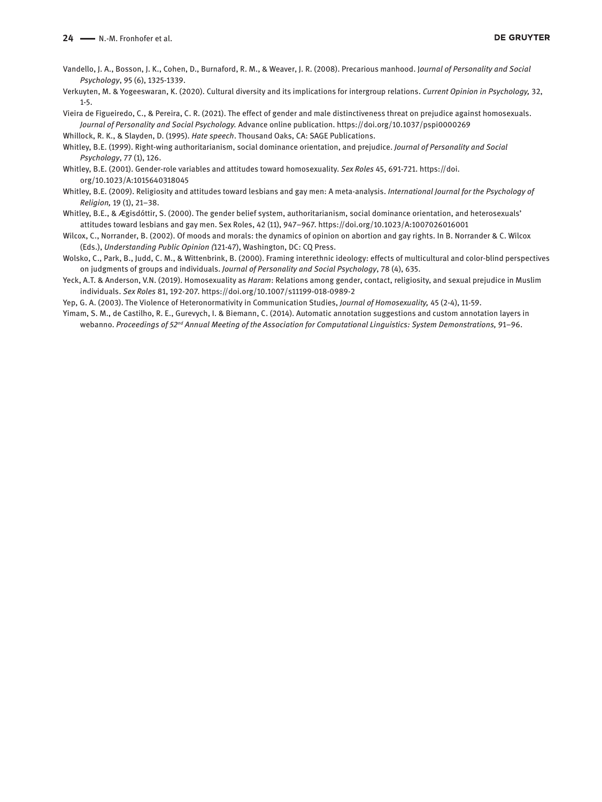- Vandello, J. A., Bosson, J. K., Cohen, D., Burnaford, R. M., & Weaver, J. R. (2008). Precarious manhood. J*ournal of Personality and Social Psychology*, 95 (6), 1325-1339.
- Verkuyten, M. & Yogeeswaran, K. (2020). Cultural diversity and its implications for intergroup relations. *Current Opinion in Psychology,* 32, 1-5.
- Vieira de Figueiredo, C., & Pereira, C. R. (2021). The effect of gender and male distinctiveness threat on prejudice against homosexuals. *Journal of Personality and Social Psychology.* Advance online publication. https://doi.org/10.1037/pspi0000269

Whillock, R. K., & Slayden, D. (1995). *Hate speech*. Thousand Oaks, CA: SAGE Publications.

Whitley, B.E. (1999). Right-wing authoritarianism, social dominance orientation, and prejudice. *Journal of Personality and Social Psychology*, 77 (1), 126.

- Whitley, B.E. (2001). Gender-role variables and attitudes toward homosexuality. *Sex Roles* 45, 691-721. [https://doi.](https://doi.org/10.1023/A:1015640318045) [org/10.1023/A:1015640318045](https://doi.org/10.1023/A:1015640318045)
- Whitley, B.E. (2009). Religiosity and attitudes toward lesbians and gay men: A meta-analysis. *International Journal for the Psychology of Religion,* 19 (1), 21–38.
- Whitley, B.E., & Ægisdóttir, S. (2000). The gender belief system, authoritarianism, social dominance orientation, and heterosexuals' attitudes toward lesbians and gay men. Sex Roles, 42 (11), 947–967.<https://doi.org/10.1023/A:1007026016001>

Wilcox, C., Norrander, B. (2002). Of moods and morals: the dynamics of opinion on abortion and gay rights. In B. Norrander & C. Wilcox (Eds.), *Understanding Public Opinion (*121-47), Washington, DC: CQ Press.

- Wolsko, C., Park, B., Judd, C. M., & Wittenbrink, B. (2000). Framing interethnic ideology: effects of multicultural and color-blind perspectives on judgments of groups and individuals. *Journal of Personality and Social Psychology*, 78 (4), 635.
- Yeck, A.T. & Anderson, V.N. (2019). Homosexuality as *Haram*: Relations among gender, contact, religiosity, and sexual prejudice in Muslim individuals. *Sex Roles* 81, 192-207. <https://doi.org/10.1007/s11199-018-0989-2>

Yep, G. A. (2003). The Violence of Heteronormativity in Communication Studies, *Journal of Homosexuality,* 45 (2-4), 11-59.

Yimam, S. M., de Castilho, R. E., Gurevych, I. & Biemann, C. (2014). Automatic annotation suggestions and custom annotation layers in webanno. *Proceedings of 52nd Annual Meeting of the Association for Computational Linguistics: System Demonstrations,* 91–96.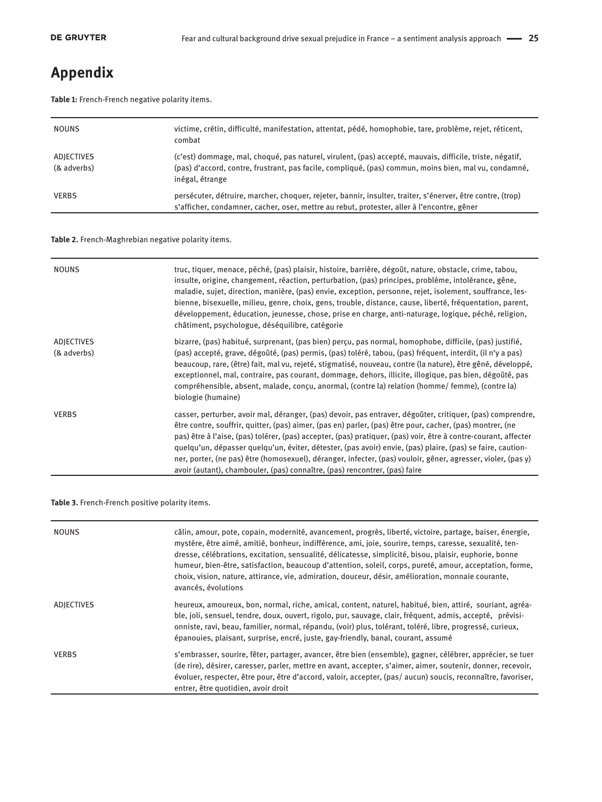# **Appendix**

**Table 1:** French-French negative polarity items.

| <b>NOUNS</b>              | victime, crétin, difficulté, manifestation, attentat, pédé, homophobie, tare, problème, rejet, réticent,<br>combat                                                                                                                   |
|---------------------------|--------------------------------------------------------------------------------------------------------------------------------------------------------------------------------------------------------------------------------------|
| ADJECTIVES<br>(& adverbs) | (c'est) dommage, mal, choqué, pas naturel, virulent, (pas) accepté, mauvais, difficile, triste, négatif,<br>(pas) d'accord, contre, frustrant, pas facile, compliqué, (pas) commun, moins bien, mal vu, condamné,<br>inégal, étrange |
| <b>VERBS</b>              | persécuter, détruire, marcher, choquer, rejeter, bannir, insulter, traiter, s'énerver, être contre, (trop)<br>s'afficher, condamner, cacher, oser, mettre au rebut, protester, aller à l'encontre, gêner                             |

**Table 2.** French-Maghrebian negative polarity items.

| <b>NOUNS</b>                     | truc, tiquer, menace, péché, (pas) plaisir, histoire, barrière, dégoût, nature, obstacle, crime, tabou,<br>insulte, origine, changement, réaction, perturbation, (pas) principes, problème, intolérance, gêne,<br>maladie, sujet, direction, manière, (pas) envie, exception, personne, rejet, isolement, souffrance, les-<br>bienne, bisexuelle, milieu, genre, choix, gens, trouble, distance, cause, liberté, fréquentation, parent,<br>développement, éducation, jeunesse, chose, prise en charge, anti-naturage, logique, péché, religion,<br>châtiment, psychologue, déséquilibre, catégorie                                                     |
|----------------------------------|--------------------------------------------------------------------------------------------------------------------------------------------------------------------------------------------------------------------------------------------------------------------------------------------------------------------------------------------------------------------------------------------------------------------------------------------------------------------------------------------------------------------------------------------------------------------------------------------------------------------------------------------------------|
| <b>ADJECTIVES</b><br>(& adverbs) | bizarre, (pas) habitué, surprenant, (pas bien) perçu, pas normal, homophobe, difficile, (pas) justifié,<br>(pas) accepté, grave, dégoûté, (pas) permis, (pas) toléré, tabou, (pas) fréquent, interdit, (il n'y a pas)<br>beaucoup, rare, (être) fait, mal vu, rejeté, stigmatisé, nouveau, contre (la nature), être gêné, développé,<br>exceptionnel, mal, contraire, pas courant, dommage, dehors, illicite, illogique, pas bien, dégoûté, pas<br>compréhensible, absent, malade, conçu, anormal, (contre la) relation (homme/ femme), (contre la)<br>biologie (humaine)                                                                              |
| <b>VERBS</b>                     | casser, perturber, avoir mal, déranger, (pas) devoir, pas entraver, dégoûter, critiquer, (pas) comprendre,<br>être contre, souffrir, quitter, (pas) aimer, (pas en) parler, (pas) être pour, cacher, (pas) montrer, (ne<br>pas) être à l'aise, (pas) tolérer, (pas) accepter, (pas) pratiquer, (pas) voir, être à contre-courant, affecter<br>quelqu'un, dépasser quelqu'un, éviter, détester, (pas avoir) envie, (pas) plaire, (pas) se faire, caution-<br>ner, porter, (ne pas) être (homosexuel), déranger, infecter, (pas) vouloir, gêner, agresser, violer, (pas y)<br>avoir (autant), chambouler, (pas) connaître, (pas) rencontrer, (pas) faire |

#### **Table 3.** French-French positive polarity items.

| <b>NOUNS</b> | câlin, amour, pote, copain, modernité, avancement, progrès, liberté, victoire, partage, baiser, énergie,<br>mystère, être aimé, amitié, bonheur, indifférence, ami, joie, sourire, temps, caresse, sexualité, ten-<br>dresse, célébrations, excitation, sensualité, délicatesse, simplicité, bisou, plaisir, euphorie, bonne<br>humeur, bien-être, satisfaction, beaucoup d'attention, soleil, corps, pureté, amour, acceptation, forme,<br>choix, vision, nature, attirance, vie, admiration, douceur, désir, amélioration, monnaie courante,<br>avancés, évolutions |
|--------------|-----------------------------------------------------------------------------------------------------------------------------------------------------------------------------------------------------------------------------------------------------------------------------------------------------------------------------------------------------------------------------------------------------------------------------------------------------------------------------------------------------------------------------------------------------------------------|
| ADJECTIVES   | heureux, amoureux, bon, normal, riche, amical, content, naturel, habitué, bien, attiré, souriant, agréa-<br>ble, joli, sensuel, tendre, doux, ouvert, rigolo, pur, sauvage, clair, fréquent, admis, accepté, prévisi-<br>onniste, ravi, beau, familier, normal, répandu, (voir) plus, tolérant, toléré, libre, progressé, curieux,<br>épanouies, plaisant, surprise, encré, juste, gay-friendly, banal, courant, assumé                                                                                                                                               |
| <b>VERBS</b> | s'embrasser, sourire, fêter, partager, avancer, être bien (ensemble), gagner, célébrer, apprécier, se tuer<br>(de rire), désirer, caresser, parler, mettre en avant, accepter, s'aimer, aimer, soutenir, donner, recevoir,<br>évoluer, respecter, être pour, être d'accord, valoir, accepter, (pas/aucun) soucis, reconnaître, favoriser,<br>entrer, être quotidien, avoir droit                                                                                                                                                                                      |